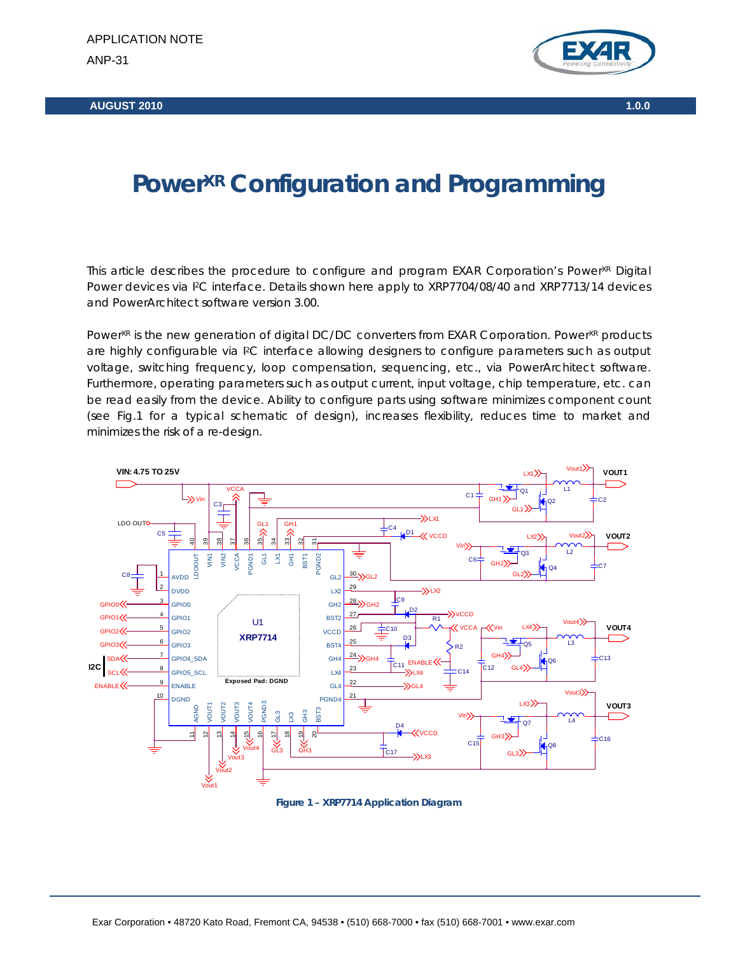**AUGUST 2010 1.0.0** 



# **Power<sup>XR</sup> Configuration and Programming**

This article describes the procedure to configure and program EXAR Corporation's Power<sup>XR</sup> Digital Power devices via I<sup>2</sup>C interface. Details shown here apply to XRP7704/08/40 and XRP7713/14 devices and PowerArchitect software version 3.00.

Power<sup>xR</sup> is the new generation of digital DC/DC converters from EXAR Corporation. Power<sup>xR</sup> products are highly configurable via I<sup>2</sup>C interface allowing designers to configure parameters such as output voltage, switching frequency, loop compensation, sequencing, etc., via PowerArchitect software. Furthermore, operating parameters such as output current, input voltage, chip temperature, etc. can be read easily from the device. Ability to configure parts using software minimizes component count (see Fig.1 for a typical schematic of design), increases flexibility, reduces time to market and minimizes the risk of a re-design.



**Figure 1 – XRP7714 Application Diagram**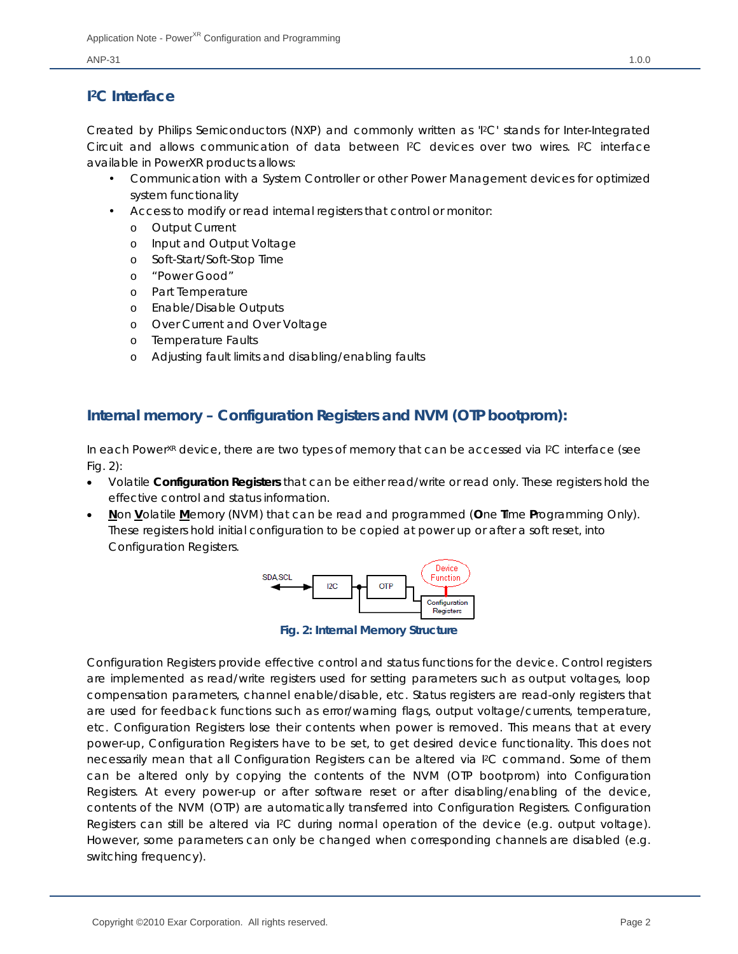# **I2C Interface**

Created by Philips Semiconductors (NXP) and commonly written as 'I2C' stands for Inter-Integrated Circuit and allows communication of data between I2C devices over two wires. I2C interface available in PowerXR products allows:

- Communication with a System Controller or other Power Management devices for optimized system functionality
- Access to modify or read internal registers that control or monitor:
	- o Output Current
	- o Input and Output Voltage
	- o Soft-Start/Soft-Stop Time
	- o "Power Good"
	- o Part Temperature
	- o Enable/Disable Outputs
	- o Over Current and Over Voltage
	- o Temperature Faults
	- o Adjusting fault limits and disabling/enabling faults

# **Internal memory – Configuration Registers and NVM (OTP bootprom):**

In each Power<sup>XR</sup> device, there are two types of memory that can be accessed via  $P<sup>2</sup>C$  interface (see Fig. 2):

- Volatile **Configuration Registers** that can be either read/write or read only. These registers hold the effective control and status information.
- **N**on **V**olatile **M**emory (NVM) that can be read and programmed (**O**ne **T**ime **P**rogramming Only). These registers hold initial configuration to be copied at power up or after a soft reset, into Configuration Registers.



**Fig. 2: Internal Memory Structure** 

Configuration Registers provide effective control and status functions for the device. Control registers are implemented as read/write registers used for setting parameters such as output voltages, loop compensation parameters, channel enable/disable, etc. Status registers are read-only registers that are used for feedback functions such as error/warning flags, output voltage/currents, temperature, etc. Configuration Registers lose their contents when power is removed. This means that at every power-up, Configuration Registers have to be set, to get desired device functionality. This does not necessarily mean that all Configuration Registers can be altered via I2C command. Some of them can be altered only by copying the contents of the NVM (OTP bootprom) into Configuration Registers. At every power-up or after software reset or after disabling/enabling of the device, contents of the NVM (OTP) are automatically transferred into Configuration Registers. Configuration Registers can still be altered via I2C during normal operation of the device (e.g. output voltage). However, some parameters can only be changed when corresponding channels are disabled (e.g. switching frequency).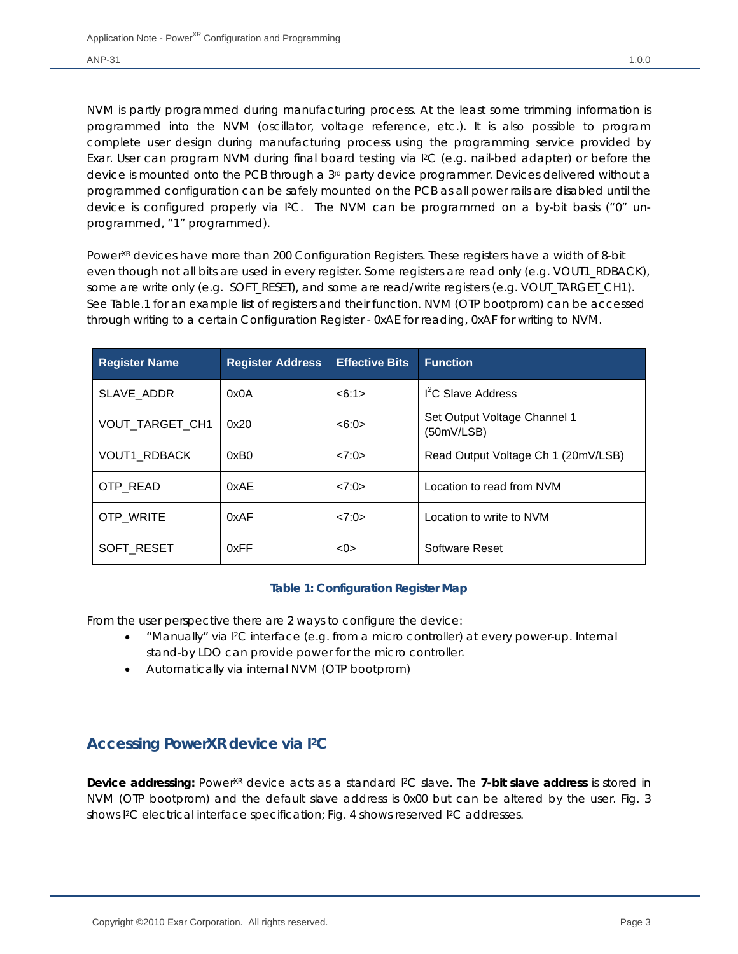NVM is partly programmed during manufacturing process. At the least some trimming information is programmed into the NVM (oscillator, voltage reference, etc.). It is also possible to program complete user design during manufacturing process using the programming service provided by Exar. User can program NVM during final board testing via I2C (e.g. nail-bed adapter) or before the device is mounted onto the PCB through a 3<sup>rd</sup> party device programmer. Devices delivered without a programmed configuration can be safely mounted on the PCB as all power rails are disabled until the device is configured properly via I2C. The NVM can be programmed on a by-bit basis ("0" unprogrammed, "1" programmed).

Power<sup>XR</sup> devices have more than 200 Configuration Registers. These registers have a width of 8-bit even though not all bits are used in every register. Some registers are read only (e.g. VOUT1\_RDBACK), some are write only (e.g. SOFT\_RESET), and some are read/write registers (e.g. VOUT\_TARGET\_CH1). See Table.1 for an example list of registers and their function. NVM (OTP bootprom) can be accessed through writing to a certain Configuration Register - 0xAE for reading, 0xAF for writing to NVM.

| <b>Register Name</b> | <b>Register Address</b> | <b>Effective Bits</b> | <b>Function</b>                            |
|----------------------|-------------------------|-----------------------|--------------------------------------------|
| SLAVE ADDR           | 0x0A                    | <6:1>                 | I <sup>2</sup> C Slave Address             |
| VOUT TARGET CH1      | 0x20                    | <6:0>                 | Set Output Voltage Channel 1<br>(50mV/LSB) |
| VOUT1_RDBACK         | 0xB0                    | 27:0>                 | Read Output Voltage Ch 1 (20mV/LSB)        |
| OTP_READ             | 0xAE                    | 27:0>                 | Location to read from NVM                  |
| <b>OTP WRITE</b>     | 0xAF                    | 27:0>                 | Location to write to NVM                   |
| SOFT RESET           | 0xFF                    | < 0                   | Software Reset                             |

### **Table 1: Configuration Register Map**

From the user perspective there are 2 ways to configure the device:

- "Manually" via I2C interface (e.g. from a micro controller) at every power-up. Internal stand-by LDO can provide power for the micro controller.
- Automatically via internal NVM (OTP bootprom)

# **Accessing PowerXR device via I2C**

**Device addressing:** Power<sup>XR</sup> device acts as a standard <sup>12</sup>C slave. The **7-bit slave address** is stored in NVM (OTP bootprom) and the default slave address is 0x00 but can be altered by the user. Fig. 3 shows I2C electrical interface specification; Fig. 4 shows reserved I2C addresses.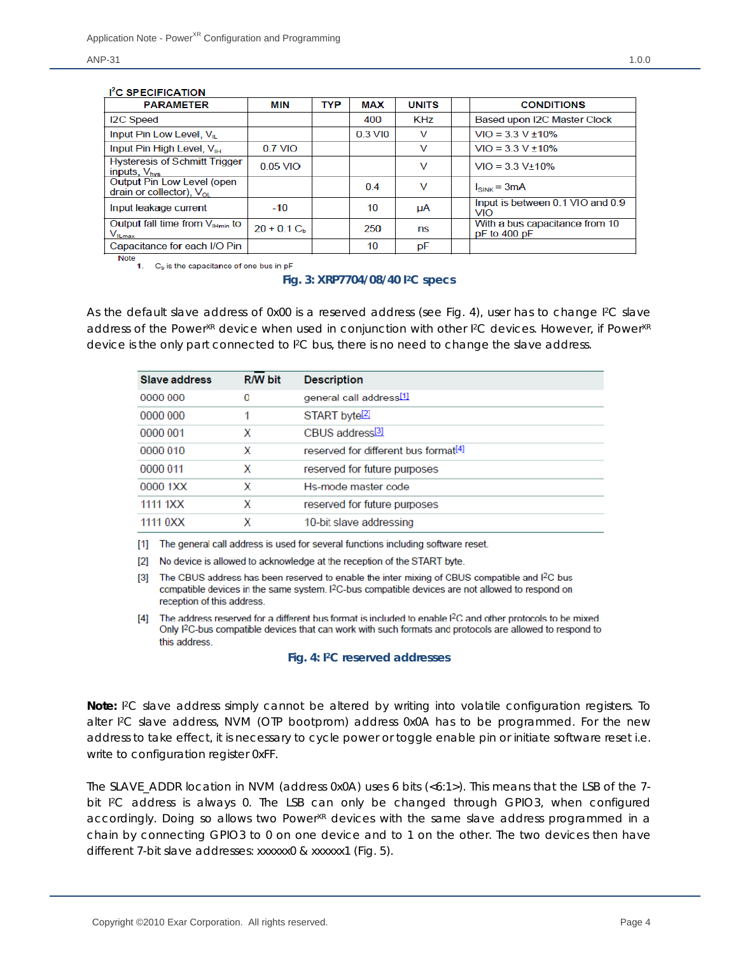### 1<sup>2</sup>C **SPECIFICATION**

| <b>PARAMETER</b>                                                                         | <b>MIN</b>     | <b>TYP</b> | <b>MAX</b> | <b>UNITS</b> | <b>CONDITIONS</b>                                  |
|------------------------------------------------------------------------------------------|----------------|------------|------------|--------------|----------------------------------------------------|
| <b>I2C Speed</b>                                                                         |                |            | 400        | KHz          | Based upon I2C Master Clock                        |
| Input Pin Low Level, V <sub>IL</sub>                                                     |                |            | 0.3 VIO    | v            | $VIO = 3.3 V ± 10\%$                               |
| Input Pin High Level, V <sub>IH</sub>                                                    | 0.7 VIO        |            |            | v            | $VIO = 3.3 V ± 10\%$                               |
| <b>Hysteresis of Schmitt Trigger</b><br>inputs, $V_{\text{hvs}}$                         | $0.05$ VIO     |            |            | v            | $VIO = 3.3 V±10\%$                                 |
| Output Pin Low Level (open<br>drain or collector), $V_{\text{or}}$                       |                |            | 0.4        | v            | $I_{SINK} = 3mA$                                   |
| Input leakage current                                                                    | $-10$          |            | 10         | μA           | Input is between 0.1 VIO and 0.9<br>VIO            |
| Output fall time from $V_{Hmin}$ to<br>$\mathsf{V}_{\mathsf{I} \mathsf{L} \mathsf{max}}$ | $20 + 0.1 C_h$ |            | 250        | ns           | With a bus capacitance from 10<br>$pF$ to 400 $pF$ |
| Capacitance for each I/O Pin                                                             |                |            | 10         | pF           |                                                    |

**Note** 1. C<sub>b</sub> is the capacitance of one bus in pF

### **Fig. 3: XRP7704/08/40 I2C specs**

As the default slave address of 0x00 is a reserved address (see Fig. 4), user has to change I<sup>2</sup>C slave address of the Power<sup>XR</sup> device when used in conjunction with other I<sup>2</sup>C devices. However, if Power<sup>XR</sup> device is the only part connected to I<sup>2</sup>C bus, there is no need to change the slave address.

| Slave address | <b>R/W bit</b> | <b>Description</b>                               |
|---------------|----------------|--------------------------------------------------|
| 0000 000      | 0              | general call address <sup>[1]</sup>              |
| 0000 000      |                | START byte <sup>[2]</sup>                        |
| 0000 001      | x              | CBUS address <sup>[3]</sup>                      |
| 0000 010      | x              | reserved for different bus format <sup>[4]</sup> |
| 0000 011      | x              | reserved for future purposes                     |
| 0000 1XX      | x              | Hs-mode master code                              |
| 1111 1XX      | x              | reserved for future purposes                     |
| 1111 0XX      | X              | 10-bit slave addressing                          |

[1] The general call address is used for several functions including software reset.

[2] No device is allowed to acknowledge at the reception of the START byte.

[3] The CBUS address has been reserved to enable the inter mixing of CBUS compatible and I<sup>2</sup>C bus compatible devices in the same system. I<sup>2</sup>C-bus compatible devices are not allowed to respond on reception of this address.

[4] The address reserved for a different bus format is included to enable I<sup>2</sup>C and other protocols to be mixed. Only I<sup>2</sup>C-bus compatible devices that can work with such formats and protocols are allowed to respond to this address.

### **Fig. 4: I2C reserved addresses**

**Note:** I 2C slave address simply cannot be altered by writing into volatile configuration registers. To alter I2C slave address, NVM (OTP bootprom) address 0x0A has to be programmed. For the new address to take effect, it is necessary to cycle power or toggle enable pin or initiate software reset i.e. write to configuration register 0xFF.

The SLAVE\_ADDR location in NVM (address 0x0A) uses 6 bits (<6:1>). This means that the LSB of the 7 bit I<sup>2</sup>C address is always 0. The LSB can only be changed through GPIO3, when configured accordingly. Doing so allows two Power<sup>XR</sup> devices with the same slave address programmed in a chain by connecting GPIO3 to 0 on one device and to 1 on the other. The two devices then have different 7-bit slave addresses: xxxxxx0 & xxxxxx1 (Fig. 5).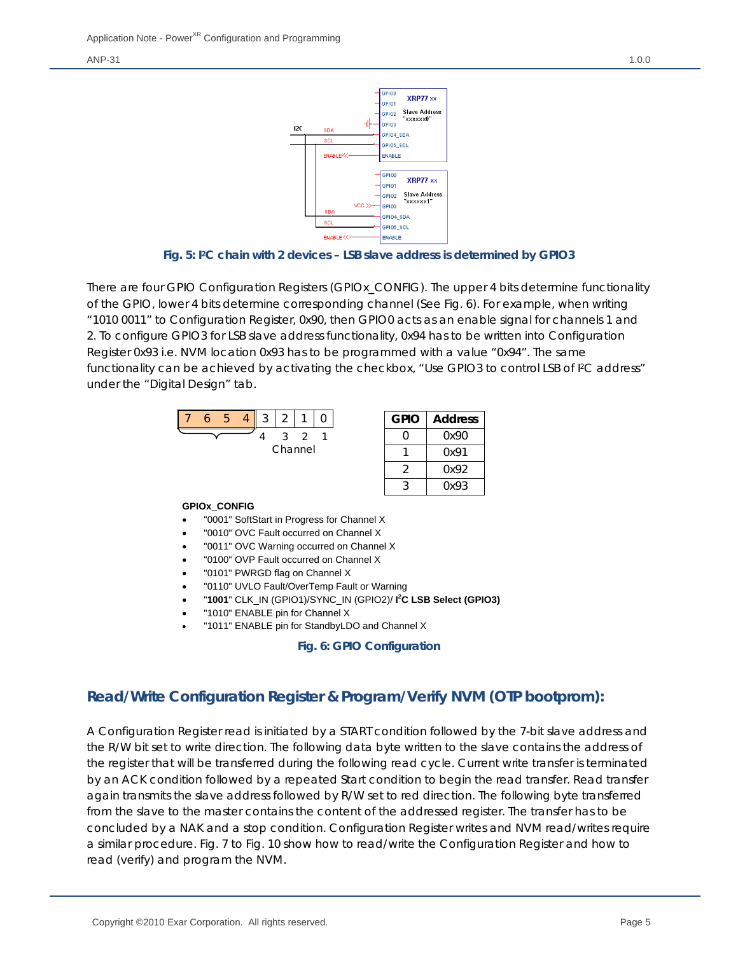

**Fig. 5: I2C chain with 2 devices – LSB slave address is determined by GPIO3** 

There are four GPIO Configuration Registers (GPIOx\_CONFIG). The upper 4 bits determine functionality of the GPIO, lower 4 bits determine corresponding channel (See Fig. 6). For example, when writing "1010 0011" to Configuration Register, 0x90, then GPIO0 acts as an enable signal for channels 1 and 2. To configure GPIO3 for LSB slave address functionality, 0x94 has to be written into Configuration Register 0x93 i.e. NVM location 0x93 has to be programmed with a value "0x94". The same functionality can be achieved by activating the checkbox, "Use GPIO3 to control LSB of I<sup>2</sup>C address" under the "Digital Design" tab.



### **GPIOx\_CONFIG**

- "0001" SoftStart in Progress for Channel X
- "0010" OVC Fault occurred on Channel X
- "0011" OVC Warning occurred on Channel X
- "0100" OVP Fault occurred on Channel X
- "0101" PWRGD flag on Channel X
- "0110" UVLO Fault/OverTemp Fault or Warning
- "**1001**" CLK\_IN (GPIO1)/SYNC\_IN (GPIO2)/ **I 2 C LSB Select (GPIO3)**
- "1010" ENABLE pin for Channel X
- "1011" ENABLE pin for StandbyLDO and Channel X

### **Fig. 6: GPIO Configuration**

### **Read/Write Configuration Register & Program/Verify NVM (OTP bootprom):**

A Configuration Register read is initiated by a START condition followed by the 7-bit slave address and the R/W bit set to write direction. The following data byte written to the slave contains the address of the register that will be transferred during the following read cycle. Current write transfer is terminated by an ACK condition followed by a repeated Start condition to begin the read transfer. Read transfer again transmits the slave address followed by R/W set to red direction. The following byte transferred from the slave to the master contains the content of the addressed register. The transfer has to be concluded by a NAK and a stop condition. Configuration Register writes and NVM read/writes require a similar procedure. Fig. 7 to Fig. 10 show how to read/write the Configuration Register and how to read (verify) and program the NVM.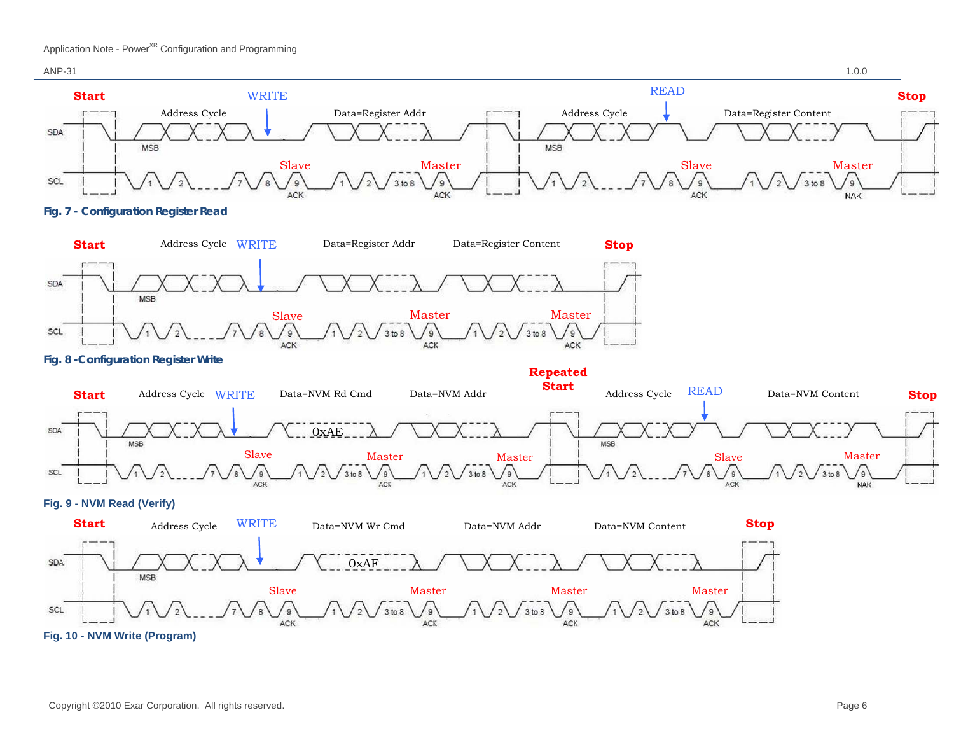



**Fig. 7 - Configuration Register Read** 



**Fig. 8 -Configuration Register Write** 



### **Fig. 9 - NVM Read (Verify)**

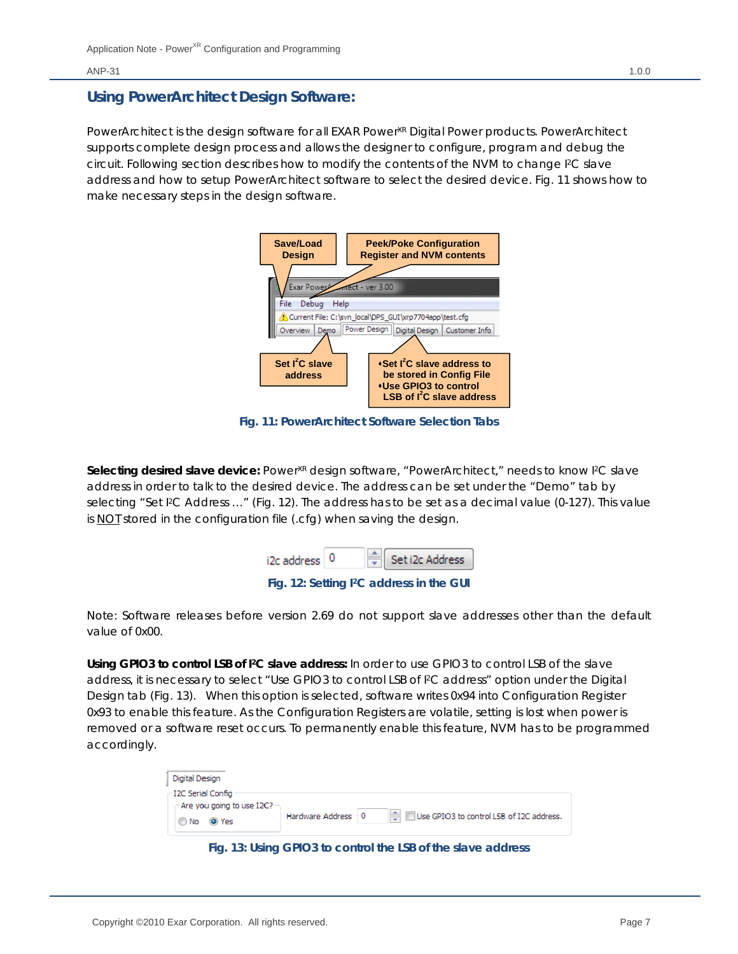### **Using PowerArchitect Design Software:**

PowerArchitect is the design software for all EXAR Power<sup>xR</sup> Digital Power products. PowerArchitect supports complete design process and allows the designer to configure, program and debug the circuit. Following section describes how to modify the contents of the NVM to change I2C slave address and how to setup PowerArchitect software to select the desired device. Fig. 11 shows how to make necessary steps in the design software.



**Fig. 11: PowerArchitect Software Selection Tabs** 

Selecting desired slave device: Power<sup>XR</sup> design software, "PowerArchitect," needs to know I<sup>2</sup>C slave address in order to talk to the desired device. The address can be set under the "Demo" tab by selecting "Set I<sup>2</sup>C Address ..." (Fig. 12). The address has to be set as a decimal value (0-127). This value is NOT stored in the configuration file (.cfg) when saving the design.

| i2c address 0 |  | $\frac{1}{x}$ Set i2c Address                        |
|---------------|--|------------------------------------------------------|
|               |  | Fig. 12: Setting I <sup>2</sup> C address in the GUI |

Note: Software releases before version 2.69 do not support slave addresses other than the default value of 0x00.

**Using GPIO3 to control LSB of I2C slave address:** In order to use GPIO3 to control LSB of the slave address, it is necessary to select "Use GPIO3 to control LSB of I2C address" option under the Digital Design tab (Fig. 13). When this option is selected, software writes 0x94 into Configuration Register 0x93 to enable this feature. As the Configuration Registers are volatile, setting is lost when power is removed or a software reset occurs. To permanently enable this feature, NVM has to be programmed accordingly.

| Digital Design                      |                                                                  |
|-------------------------------------|------------------------------------------------------------------|
| – I2C Serial Config                 |                                                                  |
| - Are you going to use $12C$ $\sim$ |                                                                  |
| O Yes<br><b>O</b> No                | Use GPIO3 to control LSB of I2C address.<br>Hardware Address   0 |

**Fig. 13: Using GPIO3 to control the LSB of the slave address**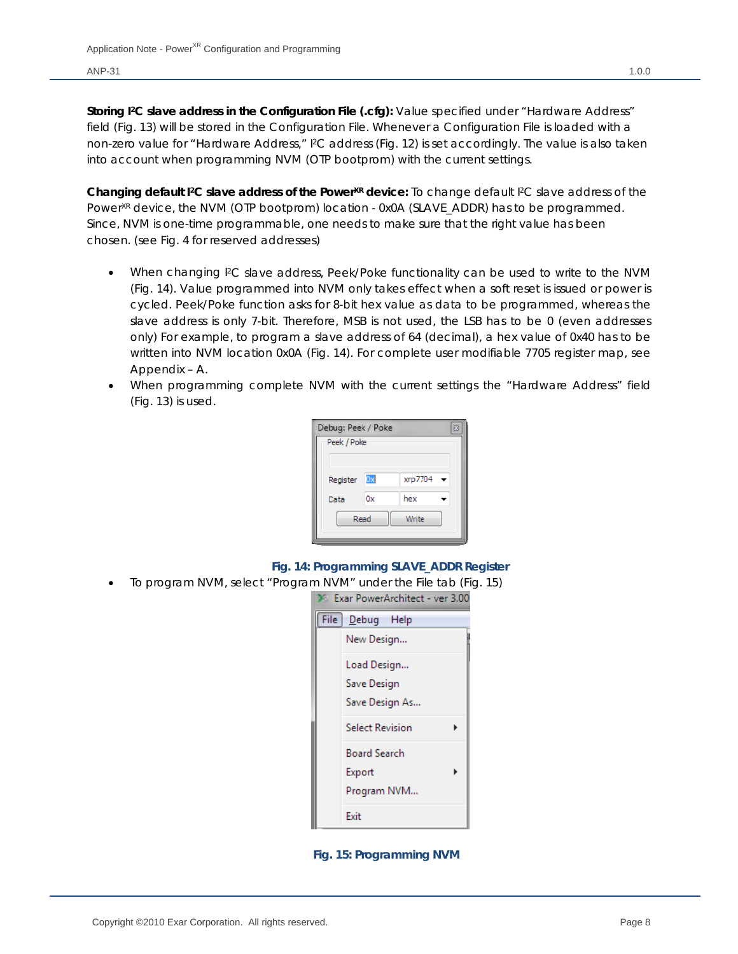**Storing I2C slave address in the Configuration File (.cfg):** Value specified under "Hardware Address" field (Fig. 13) will be stored in the Configuration File. Whenever a Configuration File is loaded with a non-zero value for "Hardware Address," I2C address (Fig. 12) is set accordingly. The value is also taken into account when programming NVM (OTP bootprom) with the current settings.

Changing default I<sup>2</sup>C slave address of the Power<sup>XR</sup> device: To change default I<sup>2</sup>C slave address of the Power<sup>XR</sup> device, the NVM (OTP bootprom) location - 0x0A (SLAVE\_ADDR) has to be programmed. Since, NVM is one-time programmable, one needs to make sure that the right value has been chosen. (see Fig. 4 for reserved addresses)

- When changing I2C slave address, Peek/Poke functionality can be used to write to the NVM (Fig. 14). Value programmed into NVM only takes effect when a soft reset is issued or power is cycled. Peek/Poke function asks for 8-bit hex value as data to be programmed, whereas the slave address is only 7-bit. Therefore, MSB is not used, the LSB has to be 0 (even addresses only) For example, to program a slave address of 64 (decimal), a hex value of 0x40 has to be written into NVM location 0x0A (Fig. 14). For complete user modifiable 7705 register map, see Appendix – A.
- When programming complete NVM with the current settings the "Hardware Address" field (Fig. 13) is used.

| Debug: Peek / Poke<br>Σ |               |         |                          |  |  |  |  |  |  |
|-------------------------|---------------|---------|--------------------------|--|--|--|--|--|--|
| Peek / Poke             |               |         |                          |  |  |  |  |  |  |
|                         |               |         |                          |  |  |  |  |  |  |
|                         |               |         |                          |  |  |  |  |  |  |
| Register                | 0x            | xrp7704 | $\overline{\phantom{a}}$ |  |  |  |  |  |  |
| Data                    | 0x            | hex     |                          |  |  |  |  |  |  |
|                         | Read<br>Write |         |                          |  |  |  |  |  |  |
|                         |               |         |                          |  |  |  |  |  |  |
|                         |               |         |                          |  |  |  |  |  |  |

### **Fig. 14: Programming SLAVE\_ADDR Register**

To program NVM, select "Program NVM" under the File tab (Fig. 15)

|      | 2 - Exar PowerArchitect - ver 3.00 |
|------|------------------------------------|
| File | Debug Help                         |
|      | New Design                         |
|      | Load Design                        |
|      | Save Design                        |
|      | Save Design As                     |
|      | <b>Select Revision</b>             |
|      | Board Search                       |
|      | Export                             |
|      | Program NVM                        |
|      | Fxit                               |

 **Fig. 15: Programming NVM**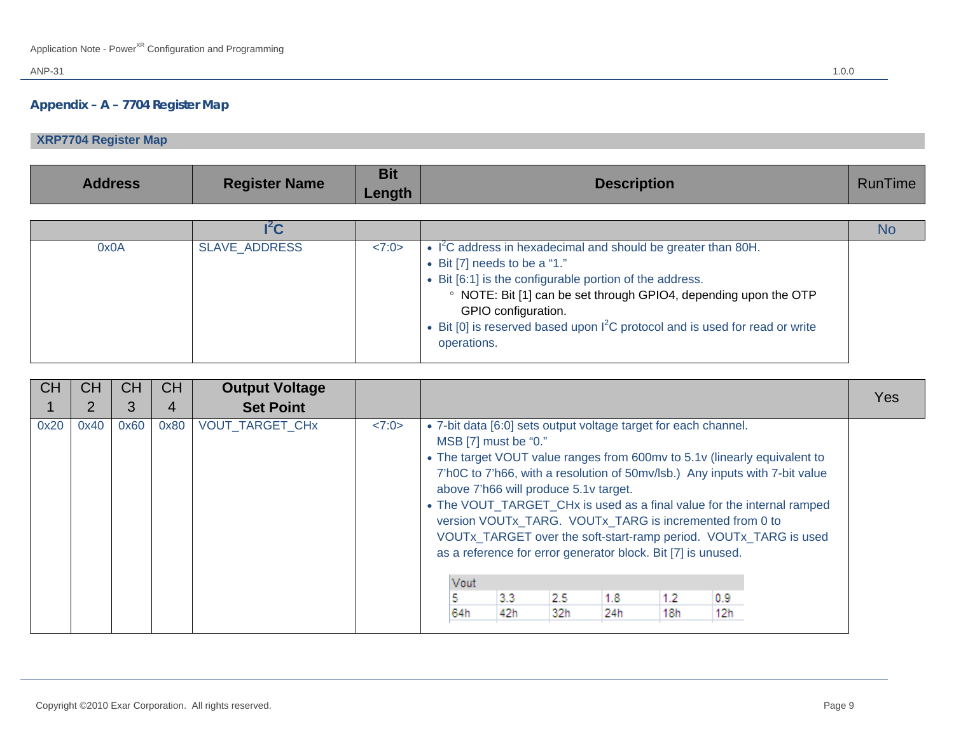### **Appendix – A – 7704 Register Map**

## **XRP7704 Register Map**

| <b>Address</b> | <b>Register Name</b> | <b>Bit</b><br>Length | <b>Description</b>                                                                                                                                                                                                                                                                                                                                                       | <b>RunTime</b> |
|----------------|----------------------|----------------------|--------------------------------------------------------------------------------------------------------------------------------------------------------------------------------------------------------------------------------------------------------------------------------------------------------------------------------------------------------------------------|----------------|
|                |                      |                      |                                                                                                                                                                                                                                                                                                                                                                          |                |
|                | I <sup>2</sup> C     |                      |                                                                                                                                                                                                                                                                                                                                                                          | <b>No</b>      |
| 0x0A           | SLAVE_ADDRESS        | <7:0>                | • I <sup>2</sup> C address in hexadecimal and should be greater than 80H.<br>$\bullet$ Bit [7] needs to be a "1."<br>• Bit [6:1] is the configurable portion of the address.<br>• NOTE: Bit [1] can be set through GPIO4, depending upon the OTP<br>GPIO configuration.<br>• Bit [0] is reserved based upon $I^2C$ protocol and is used for read or write<br>operations. |                |

| <b>CH</b> | СH   | <b>CH</b> | <b>CH</b> | <b>Output Voltage</b>  |       |                                                                                                                                                 |            |            |                                                                                                                                       |            |            |                                                                                                                                                                                                                                                                                                        | <b>Yes</b> |
|-----------|------|-----------|-----------|------------------------|-------|-------------------------------------------------------------------------------------------------------------------------------------------------|------------|------------|---------------------------------------------------------------------------------------------------------------------------------------|------------|------------|--------------------------------------------------------------------------------------------------------------------------------------------------------------------------------------------------------------------------------------------------------------------------------------------------------|------------|
|           | 2    | 3         | 4         | <b>Set Point</b>       |       |                                                                                                                                                 |            |            |                                                                                                                                       |            |            |                                                                                                                                                                                                                                                                                                        |            |
| 0x20      | 0x40 | 0x60      | 0x80      | <b>VOUT TARGET CHx</b> | <7:0> | • 7-bit data [6:0] sets output voltage target for each channel.<br>MSB [7] must be "0."<br>above 7'h66 will produce 5.1v target.<br>Vout<br>64h | 3.3<br>42h | 2.5<br>32h | version VOUTx_TARG. VOUTx_TARG is incremented from 0 to<br>as a reference for error generator block. Bit [7] is unused.<br>1.8<br>24h | 1.2<br>18h | 0.9<br>12h | • The target VOUT value ranges from 600mv to 5.1v (linearly equivalent to<br>7'h0C to 7'h66, with a resolution of 50mv/lsb.) Any inputs with 7-bit value<br>• The VOUT_TARGET_CHx is used as a final value for the internal ramped<br>VOUTx_TARGET over the soft-start-ramp period. VOUTx_TARG is used |            |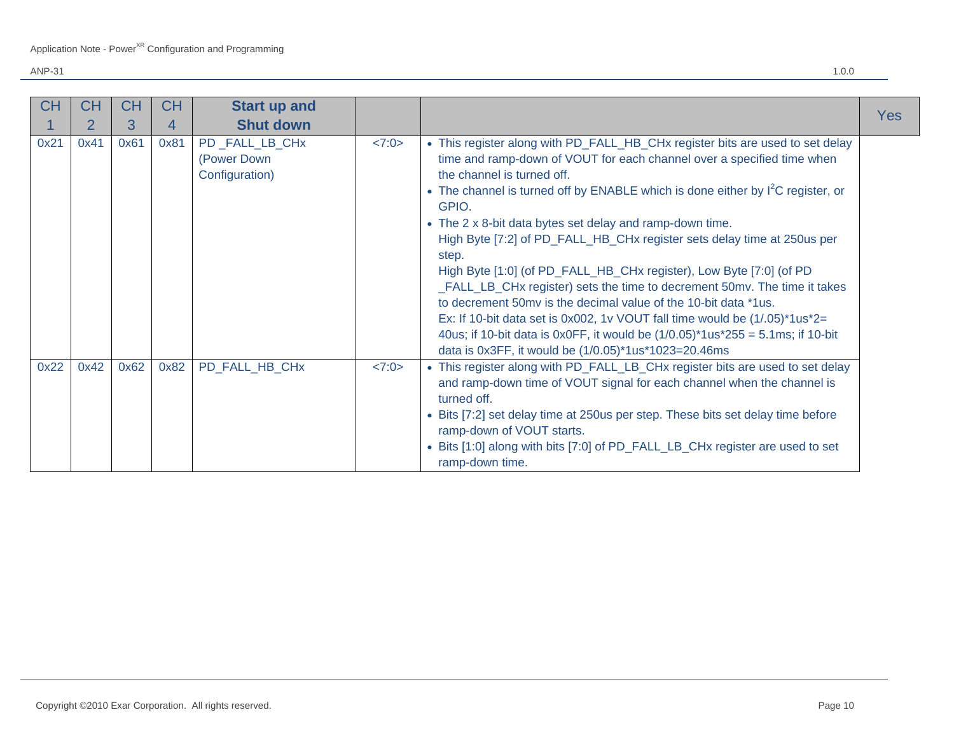| <b>CH</b> | СH             | <b>CH</b> | <b>CH</b> | <b>Start up and</b>                             |       |                                                                                                                                                                                                                                                                                                                                                                                                                                                                                                                                                                                                                                                                                                                                                                                                                                                                                                 | Yes |
|-----------|----------------|-----------|-----------|-------------------------------------------------|-------|-------------------------------------------------------------------------------------------------------------------------------------------------------------------------------------------------------------------------------------------------------------------------------------------------------------------------------------------------------------------------------------------------------------------------------------------------------------------------------------------------------------------------------------------------------------------------------------------------------------------------------------------------------------------------------------------------------------------------------------------------------------------------------------------------------------------------------------------------------------------------------------------------|-----|
|           | $\overline{2}$ | 3         | 4         | <b>Shut down</b>                                |       |                                                                                                                                                                                                                                                                                                                                                                                                                                                                                                                                                                                                                                                                                                                                                                                                                                                                                                 |     |
| 0x21      | 0x41           | 0x61      | 0x81      | PD_FALL_LB_CHx<br>(Power Down<br>Configuration) | <7:0> | • This register along with PD_FALL_HB_CHx register bits are used to set delay<br>time and ramp-down of VOUT for each channel over a specified time when<br>the channel is turned off.<br>• The channel is turned off by ENABLE which is done either by $I^2C$ register, or<br>GPIO.<br>• The 2 x 8-bit data bytes set delay and ramp-down time.<br>High Byte [7:2] of PD_FALL_HB_CHx register sets delay time at 250 us per<br>step.<br>High Byte [1:0] (of PD_FALL_HB_CHx register), Low Byte [7:0] (of PD<br>_FALL_LB_CHx register) sets the time to decrement 50mv. The time it takes<br>to decrement 50mv is the decimal value of the 10-bit data *1us.<br>Ex: If 10-bit data set is 0x002, 1v VOUT fall time would be $(1/.05)^*1us^*2=$<br>40us; if 10-bit data is 0x0FF, it would be $(1/0.05)^*$ 1us $*$ 255 = 5.1ms; if 10-bit<br>data is 0x3FF, it would be (1/0.05)*1us*1023=20.46ms |     |
| 0x22      | 0x42           | 0x62      | 0x82      | PD_FALL_HB_CHx                                  | <7:0> | • This register along with PD_FALL_LB_CHx register bits are used to set delay<br>and ramp-down time of VOUT signal for each channel when the channel is<br>turned off.<br>• Bits [7:2] set delay time at 250us per step. These bits set delay time before<br>ramp-down of VOUT starts.<br>• Bits [1:0] along with bits [7:0] of PD_FALL_LB_CHx register are used to set<br>ramp-down time.                                                                                                                                                                                                                                                                                                                                                                                                                                                                                                      |     |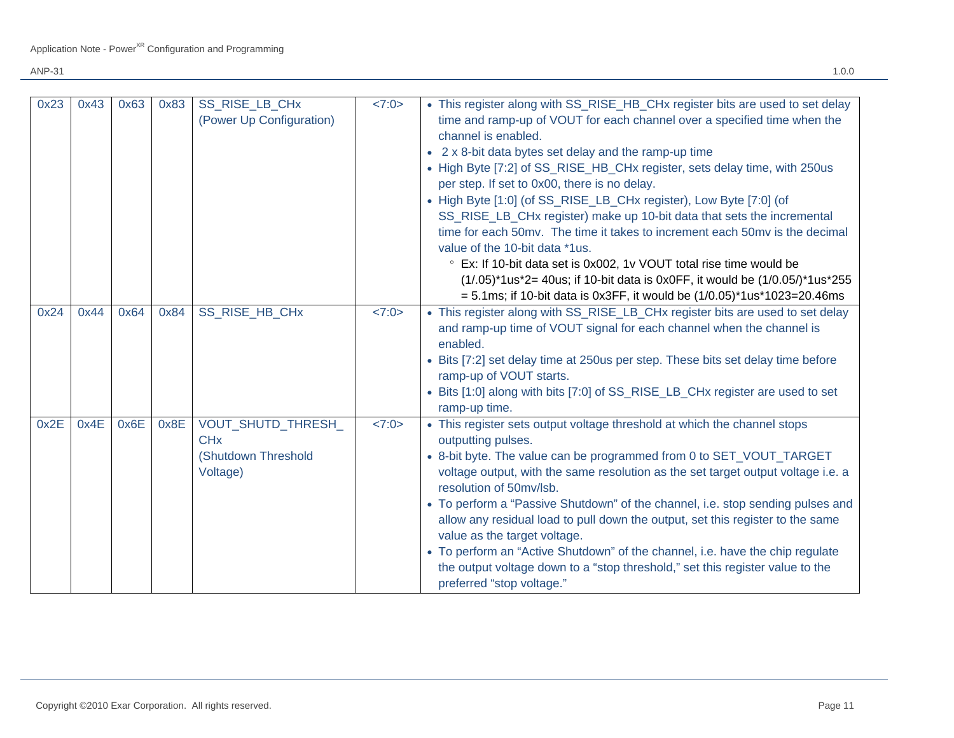| 0x23<br>0x24 | 0x43<br>0x44 | 0x63<br>0x64 | 0x83<br>0x84 | SS_RISE_LB_CHx<br>(Power Up Configuration)<br>SS RISE HB CHx                         | <7:0><br><7:0> | • This register along with SS_RISE_HB_CHx register bits are used to set delay<br>time and ramp-up of VOUT for each channel over a specified time when the<br>channel is enabled.<br>• 2 x 8-bit data bytes set delay and the ramp-up time<br>• High Byte [7:2] of SS_RISE_HB_CHx register, sets delay time, with 250us<br>per step. If set to 0x00, there is no delay.<br>• High Byte [1:0] (of SS_RISE_LB_CHx register), Low Byte [7:0] (of<br>SS_RISE_LB_CHx register) make up 10-bit data that sets the incremental<br>time for each 50mv. The time it takes to increment each 50mv is the decimal<br>value of the 10-bit data *1us.<br>° Ex: If 10-bit data set is 0x002, 1v VOUT total rise time would be<br>$(1/.05)^*1us^*2 = 40us$ ; if 10-bit data is 0x0FF, it would be $(1/0.05)^*1us^*255$<br>$= 5.1$ ms; if 10-bit data is 0x3FF, it would be $(1/0.05)$ <sup>*</sup> 1us <sup>*</sup> 1023=20.46ms<br>• This register along with SS_RISE_LB_CHx register bits are used to set delay<br>and ramp-up time of VOUT signal for each channel when the channel is |
|--------------|--------------|--------------|--------------|--------------------------------------------------------------------------------------|----------------|---------------------------------------------------------------------------------------------------------------------------------------------------------------------------------------------------------------------------------------------------------------------------------------------------------------------------------------------------------------------------------------------------------------------------------------------------------------------------------------------------------------------------------------------------------------------------------------------------------------------------------------------------------------------------------------------------------------------------------------------------------------------------------------------------------------------------------------------------------------------------------------------------------------------------------------------------------------------------------------------------------------------------------------------------------------------------|
|              |              |              |              |                                                                                      |                | enabled.<br>• Bits [7:2] set delay time at 250us per step. These bits set delay time before<br>ramp-up of VOUT starts.<br>• Bits [1:0] along with bits [7:0] of SS_RISE_LB_CHx register are used to set<br>ramp-up time.                                                                                                                                                                                                                                                                                                                                                                                                                                                                                                                                                                                                                                                                                                                                                                                                                                                  |
| 0x2E         | 0x4E         | 0x6E         | 0x8E         | <b>VOUT SHUTD THRESH</b><br><b>CH<sub>x</sub></b><br>(Shutdown Threshold<br>Voltage) | <7:0>          | • This register sets output voltage threshold at which the channel stops<br>outputting pulses.<br>• 8-bit byte. The value can be programmed from 0 to SET_VOUT_TARGET<br>voltage output, with the same resolution as the set target output voltage i.e. a<br>resolution of 50mv/lsb.<br>• To perform a "Passive Shutdown" of the channel, i.e. stop sending pulses and<br>allow any residual load to pull down the output, set this register to the same<br>value as the target voltage.<br>• To perform an "Active Shutdown" of the channel, i.e. have the chip regulate<br>the output voltage down to a "stop threshold," set this register value to the<br>preferred "stop voltage."                                                                                                                                                                                                                                                                                                                                                                                   |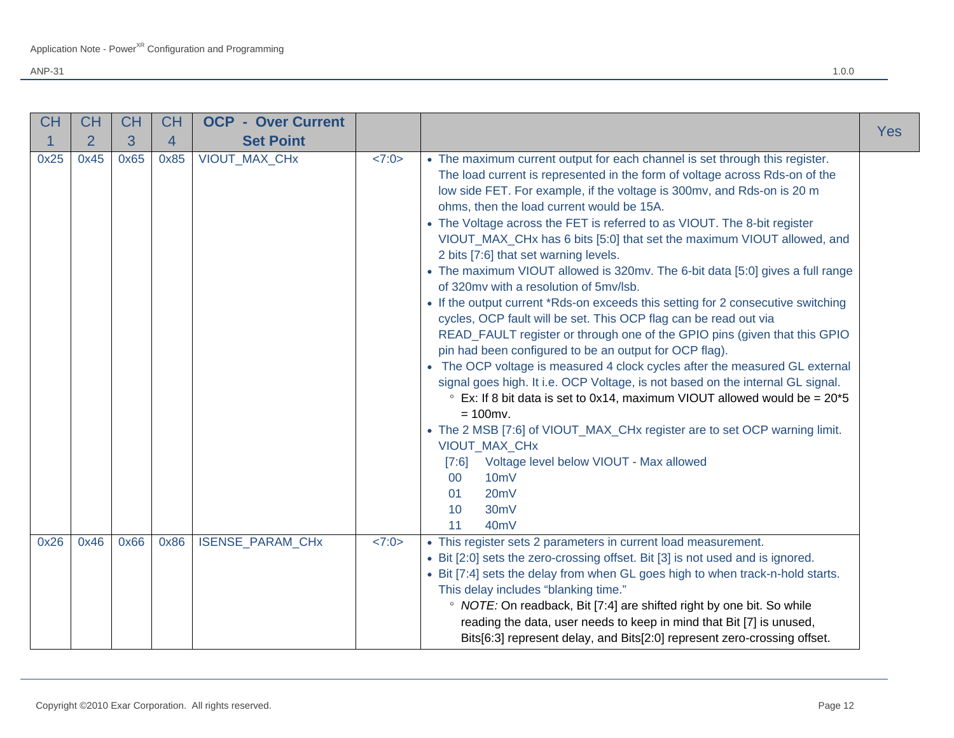| <b>CH</b> | <b>CH</b>      | <b>CH</b> | <b>CH</b> | <b>OCP - Over Current</b> |       |                                                                                                                                                                                                                                                                                                                                                                                                                                                                                                                                                                                                                                                                                                                                                                                                                                                                                                                                                                                                                                                                                                                                                                                                                                                                                                                                                                                                                                  |            |
|-----------|----------------|-----------|-----------|---------------------------|-------|----------------------------------------------------------------------------------------------------------------------------------------------------------------------------------------------------------------------------------------------------------------------------------------------------------------------------------------------------------------------------------------------------------------------------------------------------------------------------------------------------------------------------------------------------------------------------------------------------------------------------------------------------------------------------------------------------------------------------------------------------------------------------------------------------------------------------------------------------------------------------------------------------------------------------------------------------------------------------------------------------------------------------------------------------------------------------------------------------------------------------------------------------------------------------------------------------------------------------------------------------------------------------------------------------------------------------------------------------------------------------------------------------------------------------------|------------|
|           | $\overline{2}$ | 3         | 4         | <b>Set Point</b>          |       |                                                                                                                                                                                                                                                                                                                                                                                                                                                                                                                                                                                                                                                                                                                                                                                                                                                                                                                                                                                                                                                                                                                                                                                                                                                                                                                                                                                                                                  | <b>Yes</b> |
| 0x25      | 0x45           | 0x65      | 0x85      | VIOUT_MAX_CHx             | <7:0> | • The maximum current output for each channel is set through this register.<br>The load current is represented in the form of voltage across Rds-on of the<br>low side FET. For example, if the voltage is 300mv, and Rds-on is 20 m<br>ohms, then the load current would be 15A.<br>• The Voltage across the FET is referred to as VIOUT. The 8-bit register<br>VIOUT_MAX_CHx has 6 bits [5:0] that set the maximum VIOUT allowed, and<br>2 bits [7:6] that set warning levels.<br>• The maximum VIOUT allowed is 320mv. The 6-bit data [5:0] gives a full range<br>of 320my with a resolution of 5my/lsb.<br>• If the output current *Rds-on exceeds this setting for 2 consecutive switching<br>cycles, OCP fault will be set. This OCP flag can be read out via<br>READ_FAULT register or through one of the GPIO pins (given that this GPIO<br>pin had been configured to be an output for OCP flag).<br>• The OCP voltage is measured 4 clock cycles after the measured GL external<br>signal goes high. It i.e. OCP Voltage, is not based on the internal GL signal.<br>$\degree$ Ex: If 8 bit data is set to 0x14, maximum VIOUT allowed would be = 20*5<br>$= 100$ mv.<br>• The 2 MSB [7:6] of VIOUT_MAX_CHx register are to set OCP warning limit.<br>VIOUT_MAX_CHx<br>Voltage level below VIOUT - Max allowed<br>[7:6]<br>10 <sub>m</sub> V<br>00<br>20mV<br>01<br>10<br>30 <sub>m</sub> V<br>40 <sub>m</sub> V<br>11 |            |
| 0x26      | 0x46           | 0x66      | 0x86      | ISENSE_PARAM_CHx          | <7:0> | • This register sets 2 parameters in current load measurement.<br>• Bit [2:0] sets the zero-crossing offset. Bit [3] is not used and is ignored.<br>• Bit [7:4] sets the delay from when GL goes high to when track-n-hold starts.<br>This delay includes "blanking time."<br>• NOTE: On readback, Bit [7:4] are shifted right by one bit. So while<br>reading the data, user needs to keep in mind that Bit [7] is unused,<br>Bits[6:3] represent delay, and Bits[2:0] represent zero-crossing offset.                                                                                                                                                                                                                                                                                                                                                                                                                                                                                                                                                                                                                                                                                                                                                                                                                                                                                                                          |            |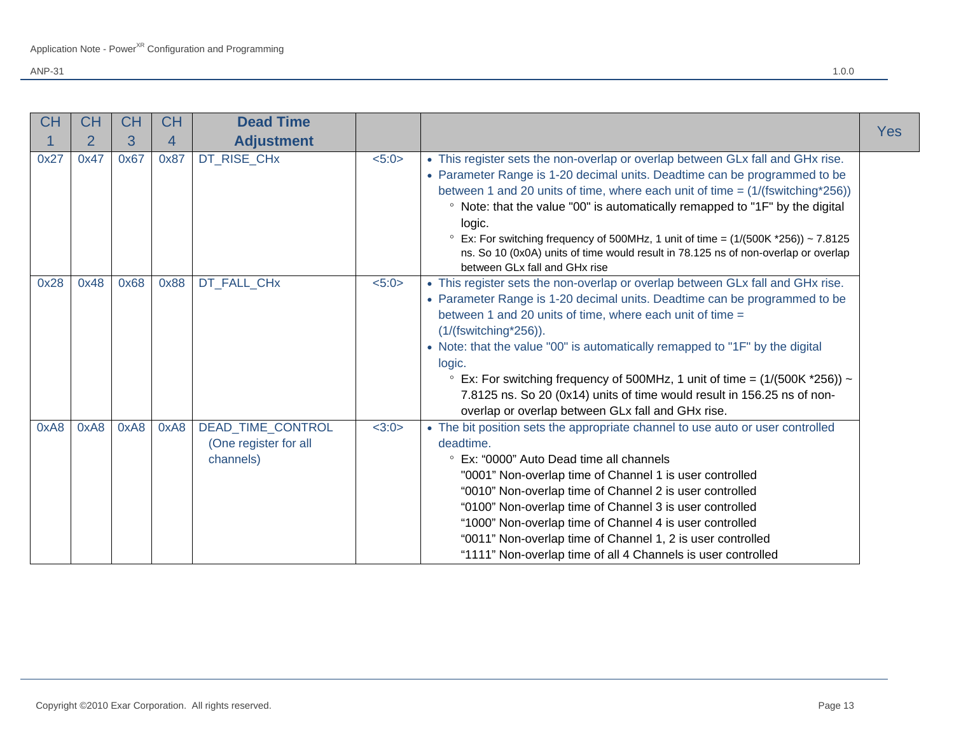| <b>CH</b> | <b>CH</b>      | <b>CH</b> | <b>CH</b> | <b>Dead Time</b>                                        |       |                                                                                                                                                                                                                                                                                                                                                                                                                                                                                                                                                                        |     |
|-----------|----------------|-----------|-----------|---------------------------------------------------------|-------|------------------------------------------------------------------------------------------------------------------------------------------------------------------------------------------------------------------------------------------------------------------------------------------------------------------------------------------------------------------------------------------------------------------------------------------------------------------------------------------------------------------------------------------------------------------------|-----|
|           | $\overline{2}$ | 3         | 4         | <b>Adjustment</b>                                       |       |                                                                                                                                                                                                                                                                                                                                                                                                                                                                                                                                                                        | Yes |
| 0x27      | 0x47           | 0x67      | 0x87      | DT_RISE_CHx                                             | 5:0>  | • This register sets the non-overlap or overlap between GLx fall and GHx rise.<br>• Parameter Range is 1-20 decimal units. Deadtime can be programmed to be<br>between 1 and 20 units of time, where each unit of time = $(1/(\text{fswitching}^*256))$<br>• Note: that the value "00" is automatically remapped to "1F" by the digital<br>logic.<br>$\degree$ Ex: For switching frequency of 500MHz, 1 unit of time = (1/(500K *256)) ~ 7.8125<br>ns. So 10 (0x0A) units of time would result in 78.125 ns of non-overlap or overlap<br>between GLx fall and GHx rise |     |
| 0x28      | 0x48           | 0x68      | 0x88      | DT_FALL_CHx                                             | 5:0>  | • This register sets the non-overlap or overlap between GLx fall and GHx rise.<br>• Parameter Range is 1-20 decimal units. Deadtime can be programmed to be<br>between 1 and 20 units of time, where each unit of time =<br>$(1/(fswitching*256)).$<br>• Note: that the value "00" is automatically remapped to "1F" by the digital<br>logic.<br>Ex: For switching frequency of 500MHz, 1 unit of time = $(1/(500K *256)) \sim$<br>7.8125 ns. So 20 (0x14) units of time would result in 156.25 ns of non-<br>overlap or overlap between GLx fall and GHx rise.        |     |
| 0xA8      | 0xA8           | 0xA8      | 0xA8      | DEAD_TIME_CONTROL<br>(One register for all<br>channels) | <3:0> | • The bit position sets the appropriate channel to use auto or user controlled<br>deadtime.<br>• Ex: "0000" Auto Dead time all channels<br>"0001" Non-overlap time of Channel 1 is user controlled<br>"0010" Non-overlap time of Channel 2 is user controlled<br>"0100" Non-overlap time of Channel 3 is user controlled<br>"1000" Non-overlap time of Channel 4 is user controlled<br>"0011" Non-overlap time of Channel 1, 2 is user controlled<br>"1111" Non-overlap time of all 4 Channels is user controlled                                                      |     |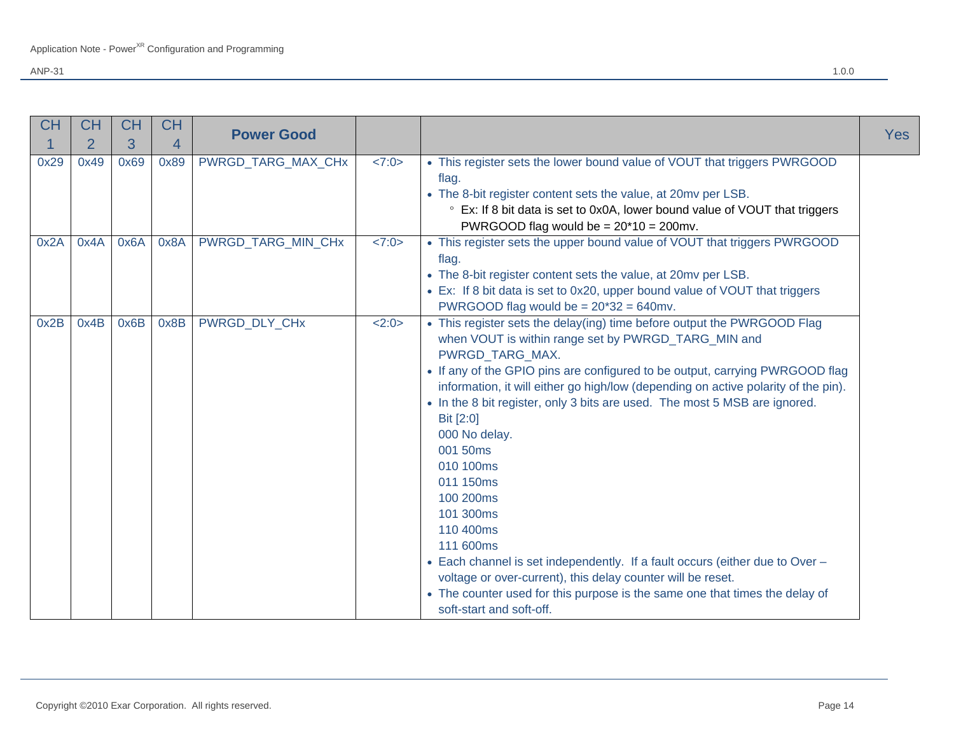| <b>CH</b> | <b>CH</b>      | <b>CH</b> | <b>CH</b>      | <b>Power Good</b>  |       |                                                                                                                                                                                                                                                                                                                                                                                                                                                                                                                                                                                                                                                                                                                                                                                         |            |
|-----------|----------------|-----------|----------------|--------------------|-------|-----------------------------------------------------------------------------------------------------------------------------------------------------------------------------------------------------------------------------------------------------------------------------------------------------------------------------------------------------------------------------------------------------------------------------------------------------------------------------------------------------------------------------------------------------------------------------------------------------------------------------------------------------------------------------------------------------------------------------------------------------------------------------------------|------------|
|           | $\overline{2}$ | 3         | $\overline{4}$ |                    |       |                                                                                                                                                                                                                                                                                                                                                                                                                                                                                                                                                                                                                                                                                                                                                                                         | <b>Yes</b> |
| 0x29      | 0x49           | 0x69      | 0x89           | PWRGD_TARG_MAX_CHx | <7:0> | • This register sets the lower bound value of VOUT that triggers PWRGOOD<br>flag.<br>• The 8-bit register content sets the value, at 20mv per LSB.<br>• Ex: If 8 bit data is set to 0x0A, lower bound value of VOUT that triggers<br>PWRGOOD flag would be = $20*10 = 200$ mv.                                                                                                                                                                                                                                                                                                                                                                                                                                                                                                          |            |
| 0x2A      | 0x4A           | 0x6A      | 0x8A           | PWRGD TARG MIN CHx | <7:0> | • This register sets the upper bound value of VOUT that triggers PWRGOOD<br>flag.<br>• The 8-bit register content sets the value, at 20mv per LSB.<br>• Ex: If 8 bit data is set to 0x20, upper bound value of VOUT that triggers<br>PWRGOOD flag would be $= 20*32 = 640$ mv.                                                                                                                                                                                                                                                                                                                                                                                                                                                                                                          |            |
| 0x2B      | 0x4B           | 0x6B      | 0x8B           | PWRGD DLY CHx      | 2:0>  | • This register sets the delay(ing) time before output the PWRGOOD Flag<br>when VOUT is within range set by PWRGD_TARG_MIN and<br>PWRGD_TARG_MAX.<br>• If any of the GPIO pins are configured to be output, carrying PWRGOOD flag<br>information, it will either go high/low (depending on active polarity of the pin).<br>• In the 8 bit register, only 3 bits are used. The most 5 MSB are ignored.<br>Bit [2:0]<br>000 No delay.<br>001 50ms<br>010 100ms<br>011 150ms<br>100 200ms<br>101 300ms<br>110 400ms<br>111 600ms<br>• Each channel is set independently. If a fault occurs (either due to Over -<br>voltage or over-current), this delay counter will be reset.<br>• The counter used for this purpose is the same one that times the delay of<br>soft-start and soft-off. |            |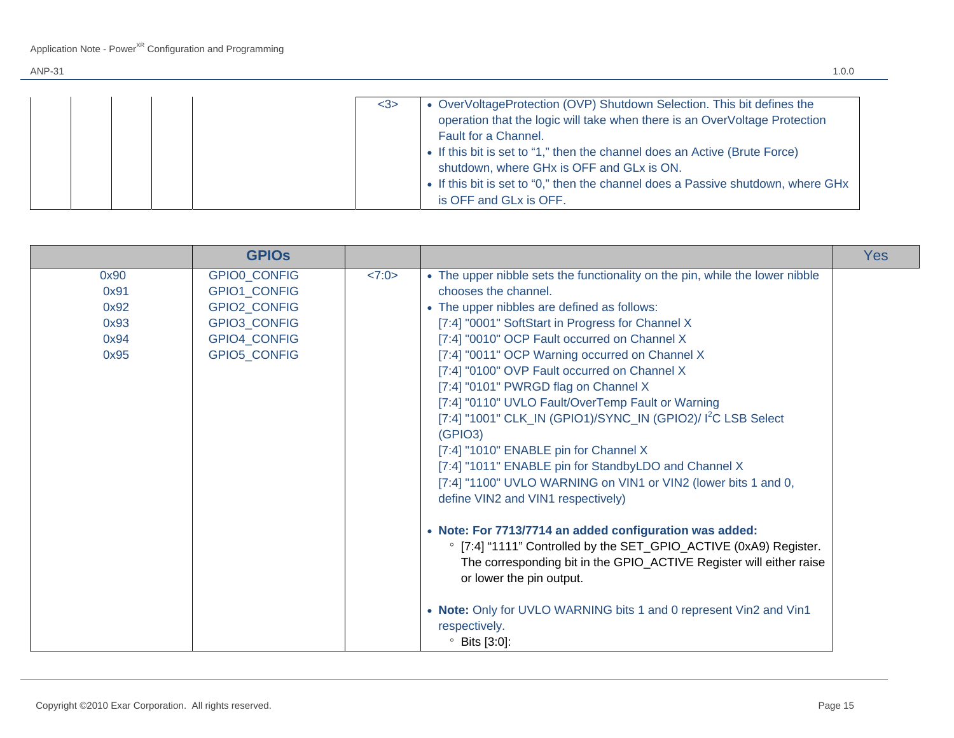|  |  | • OverVoltageProtection (OVP) Shutdown Selection. This bit defines the<br>$3$<br>operation that the logic will take when there is an OverVoltage Protection<br>Fault for a Channel.<br>• If this bit is set to "1," then the channel does an Active (Brute Force)<br>shutdown, where GHx is OFF and GLx is ON.<br>• If this bit is set to "0," then the channel does a Passive shutdown, where GHx |
|--|--|----------------------------------------------------------------------------------------------------------------------------------------------------------------------------------------------------------------------------------------------------------------------------------------------------------------------------------------------------------------------------------------------------|
|  |  | is OFF and GLx is OFF.                                                                                                                                                                                                                                                                                                                                                                             |

|                                              | <b>GPIOS</b>                                                                                        |       |                                                                                                                                                                                                                                                                                                                                                                                                                                                                                                                                                                                                                                                                                                                                                                                                                                                                                                                                                                                                                                                                                                           | <b>Yes</b> |
|----------------------------------------------|-----------------------------------------------------------------------------------------------------|-------|-----------------------------------------------------------------------------------------------------------------------------------------------------------------------------------------------------------------------------------------------------------------------------------------------------------------------------------------------------------------------------------------------------------------------------------------------------------------------------------------------------------------------------------------------------------------------------------------------------------------------------------------------------------------------------------------------------------------------------------------------------------------------------------------------------------------------------------------------------------------------------------------------------------------------------------------------------------------------------------------------------------------------------------------------------------------------------------------------------------|------------|
| 0x90<br>0x91<br>0x92<br>0x93<br>0x94<br>0x95 | GPIO0_CONFIG<br>GPIO1_CONFIG<br>GPIO2_CONFIG<br>GPIO3_CONFIG<br><b>GPIO4 CONFIG</b><br>GPIO5_CONFIG | <7:0> | • The upper nibble sets the functionality on the pin, while the lower nibble<br>chooses the channel.<br>• The upper nibbles are defined as follows:<br>[7:4] "0001" SoftStart in Progress for Channel X<br>[7:4] "0010" OCP Fault occurred on Channel X<br>[7:4] "0011" OCP Warning occurred on Channel X<br>[7:4] "0100" OVP Fault occurred on Channel X<br>[7:4] "0101" PWRGD flag on Channel X<br>[7:4] "0110" UVLO Fault/OverTemp Fault or Warning<br>[7:4] "1001" CLK_IN (GPIO1)/SYNC_IN (GPIO2)/ 1 <sup>2</sup> C LSB Select<br>(GPIO3)<br>[7:4] "1010" ENABLE pin for Channel X<br>[7:4] "1011" ENABLE pin for StandbyLDO and Channel X<br>[7:4] "1100" UVLO WARNING on VIN1 or VIN2 (lower bits 1 and 0,<br>define VIN2 and VIN1 respectively)<br>• Note: For 7713/7714 an added configuration was added:<br>• [7:4] "1111" Controlled by the SET_GPIO_ACTIVE (0xA9) Register.<br>The corresponding bit in the GPIO_ACTIVE Register will either raise<br>or lower the pin output.<br>• Note: Only for UVLO WARNING bits 1 and 0 represent Vin2 and Vin1<br>respectively.<br>$\degree$ Bits [3:0]: |            |

Ξ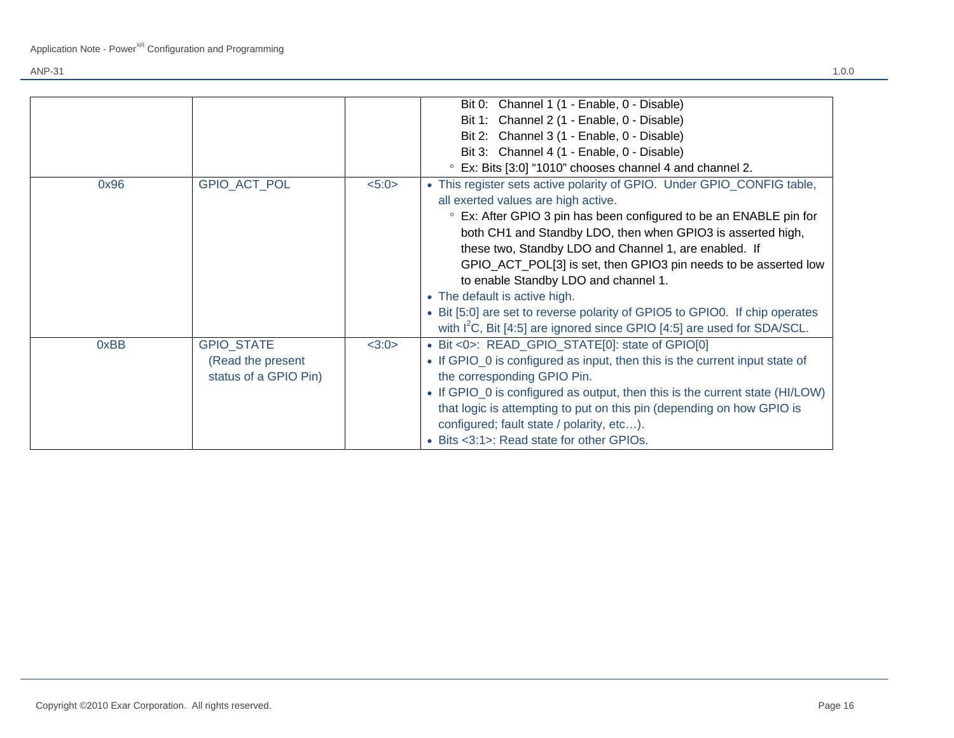|      |                       |       | Bit 0: Channel 1 (1 - Enable, 0 - Disable)                                          |
|------|-----------------------|-------|-------------------------------------------------------------------------------------|
|      |                       |       | Bit 1: Channel 2 (1 - Enable, 0 - Disable)                                          |
|      |                       |       | Bit 2: Channel 3 (1 - Enable, 0 - Disable)                                          |
|      |                       |       | Bit 3: Channel 4 (1 - Enable, 0 - Disable)                                          |
|      |                       |       | ° Ex: Bits [3:0] "1010" chooses channel 4 and channel 2.                            |
| 0x96 | <b>GPIO ACT POL</b>   | 5:0>  | • This register sets active polarity of GPIO. Under GPIO_CONFIG table,              |
|      |                       |       | all exerted values are high active.                                                 |
|      |                       |       | • Ex: After GPIO 3 pin has been configured to be an ENABLE pin for                  |
|      |                       |       | both CH1 and Standby LDO, then when GPIO3 is asserted high,                         |
|      |                       |       | these two, Standby LDO and Channel 1, are enabled. If                               |
|      |                       |       | GPIO_ACT_POL[3] is set, then GPIO3 pin needs to be asserted low                     |
|      |                       |       | to enable Standby LDO and channel 1.                                                |
|      |                       |       | • The default is active high.                                                       |
|      |                       |       | • Bit [5:0] are set to reverse polarity of GPIO5 to GPIO0. If chip operates         |
|      |                       |       | with I <sup>2</sup> C, Bit [4:5] are ignored since GPIO [4:5] are used for SDA/SCL. |
| 0xBB | <b>GPIO STATE</b>     | <3:0> | • Bit <0>: READ_GPIO_STATE[0]: state of GPIO[0]                                     |
|      | (Read the present     |       | • If GPIO_0 is configured as input, then this is the current input state of         |
|      | status of a GPIO Pin) |       | the corresponding GPIO Pin.                                                         |
|      |                       |       | • If GPIO_0 is configured as output, then this is the current state (HI/LOW)        |
|      |                       |       | that logic is attempting to put on this pin (depending on how GPIO is               |
|      |                       |       | configured; fault state / polarity, etc).                                           |
|      |                       |       | • Bits <3:1>: Read state for other GPIOs.                                           |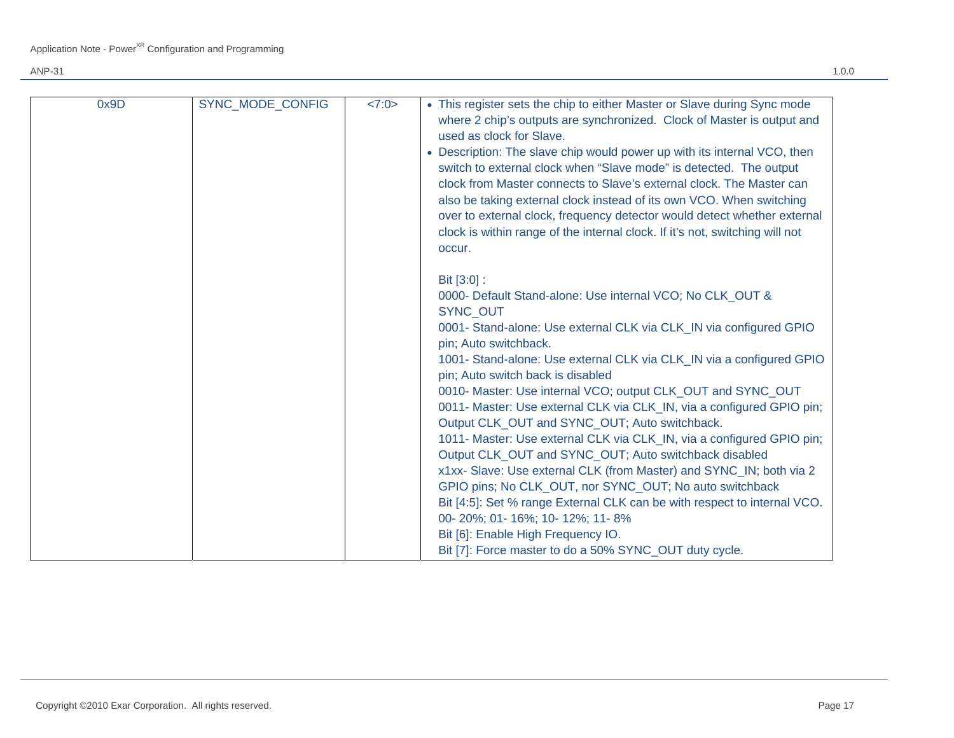| 0x9D | SYNC MODE CONFIG | <7:0> | • This register sets the chip to either Master or Slave during Sync mode<br>where 2 chip's outputs are synchronized. Clock of Master is output and<br>used as clock for Slave.<br>• Description: The slave chip would power up with its internal VCO, then<br>switch to external clock when "Slave mode" is detected. The output |
|------|------------------|-------|----------------------------------------------------------------------------------------------------------------------------------------------------------------------------------------------------------------------------------------------------------------------------------------------------------------------------------|
|      |                  |       | clock from Master connects to Slave's external clock. The Master can<br>also be taking external clock instead of its own VCO. When switching<br>over to external clock, frequency detector would detect whether external<br>clock is within range of the internal clock. If it's not, switching will not<br>occur.               |
|      |                  |       | Bit [3:0] :                                                                                                                                                                                                                                                                                                                      |
|      |                  |       | 0000- Default Stand-alone: Use internal VCO; No CLK OUT &<br><b>SYNC OUT</b>                                                                                                                                                                                                                                                     |
|      |                  |       | 0001- Stand-alone: Use external CLK via CLK_IN via configured GPIO<br>pin; Auto switchback.                                                                                                                                                                                                                                      |
|      |                  |       | 1001- Stand-alone: Use external CLK via CLK_IN via a configured GPIO<br>pin; Auto switch back is disabled                                                                                                                                                                                                                        |
|      |                  |       | 0010- Master: Use internal VCO; output CLK_OUT and SYNC_OUT                                                                                                                                                                                                                                                                      |
|      |                  |       | 0011- Master: Use external CLK via CLK_IN, via a configured GPIO pin;<br>Output CLK_OUT and SYNC_OUT; Auto switchback.                                                                                                                                                                                                           |
|      |                  |       | 1011- Master: Use external CLK via CLK_IN, via a configured GPIO pin;                                                                                                                                                                                                                                                            |
|      |                  |       | Output CLK_OUT and SYNC_OUT; Auto switchback disabled<br>x1xx- Slave: Use external CLK (from Master) and SYNC_IN; both via 2                                                                                                                                                                                                     |
|      |                  |       | GPIO pins; No CLK OUT, nor SYNC OUT; No auto switchback                                                                                                                                                                                                                                                                          |
|      |                  |       | Bit [4:5]: Set % range External CLK can be with respect to internal VCO.<br>00-20%; 01-16%; 10-12%; 11-8%                                                                                                                                                                                                                        |
|      |                  |       | Bit [6]: Enable High Frequency IO.                                                                                                                                                                                                                                                                                               |
|      |                  |       | Bit [7]: Force master to do a 50% SYNC_OUT duty cycle.                                                                                                                                                                                                                                                                           |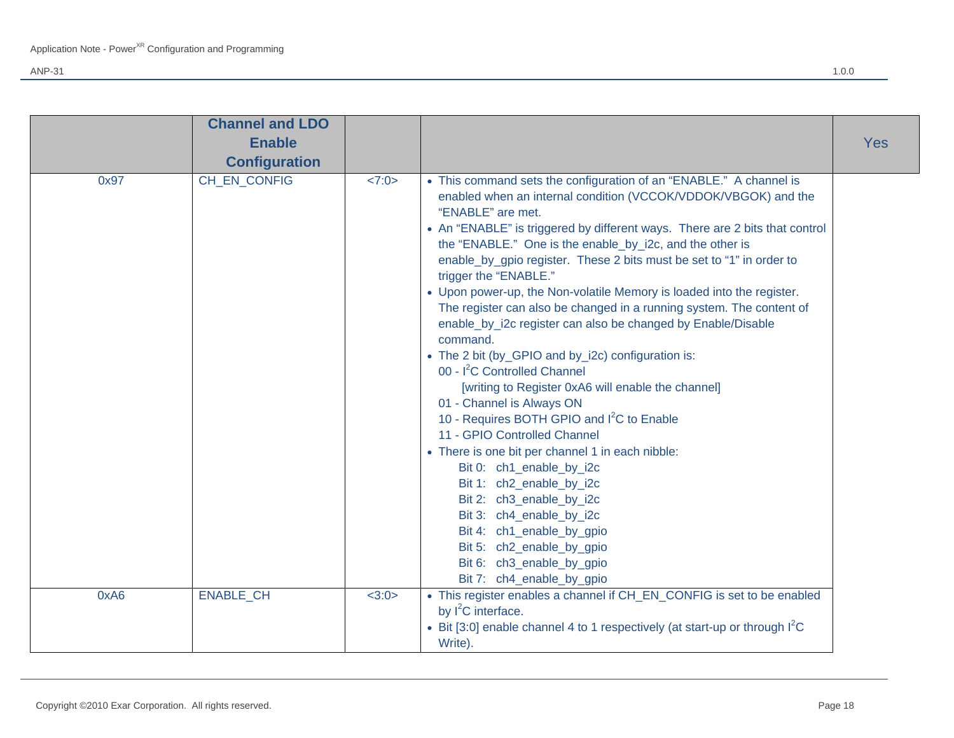|      | <b>Channel and LDO</b> |       |                                                                                                                                                                                                                                                                                                                                                                                                                                                                                                                                                                                                                                                                                                                                                                                                                                                                                                                                                                                                                                                                                                                                                                                                           |            |
|------|------------------------|-------|-----------------------------------------------------------------------------------------------------------------------------------------------------------------------------------------------------------------------------------------------------------------------------------------------------------------------------------------------------------------------------------------------------------------------------------------------------------------------------------------------------------------------------------------------------------------------------------------------------------------------------------------------------------------------------------------------------------------------------------------------------------------------------------------------------------------------------------------------------------------------------------------------------------------------------------------------------------------------------------------------------------------------------------------------------------------------------------------------------------------------------------------------------------------------------------------------------------|------------|
|      | <b>Enable</b>          |       |                                                                                                                                                                                                                                                                                                                                                                                                                                                                                                                                                                                                                                                                                                                                                                                                                                                                                                                                                                                                                                                                                                                                                                                                           | <b>Yes</b> |
|      | <b>Configuration</b>   |       |                                                                                                                                                                                                                                                                                                                                                                                                                                                                                                                                                                                                                                                                                                                                                                                                                                                                                                                                                                                                                                                                                                                                                                                                           |            |
| 0x97 | CH EN CONFIG           | <7:0> | • This command sets the configuration of an "ENABLE." A channel is<br>enabled when an internal condition (VCCOK/VDDOK/VBGOK) and the<br>"ENABLE" are met.<br>• An "ENABLE" is triggered by different ways. There are 2 bits that control<br>the "ENABLE." One is the enable_by_i2c, and the other is<br>enable_by_gpio register. These 2 bits must be set to "1" in order to<br>trigger the "ENABLE."<br>• Upon power-up, the Non-volatile Memory is loaded into the register.<br>The register can also be changed in a running system. The content of<br>enable_by_i2c register can also be changed by Enable/Disable<br>command.<br>• The 2 bit (by_GPIO and by_i2c) configuration is:<br>00 - I <sup>2</sup> C Controlled Channel<br>[writing to Register 0xA6 will enable the channel]<br>01 - Channel is Always ON<br>10 - Requires BOTH GPIO and I <sup>2</sup> C to Enable<br>11 - GPIO Controlled Channel<br>• There is one bit per channel 1 in each nibble:<br>Bit 0: ch1_enable_by_i2c<br>Bit 1: ch2_enable_by_i2c<br>Bit 2: ch3_enable_by_i2c<br>Bit 3: ch4_enable_by_i2c<br>Bit 4: ch1_enable_by_gpio<br>Bit 5: ch2_enable_by_gpio<br>Bit 6: ch3_enable_by_gpio<br>Bit 7: ch4_enable_by_gpio |            |
| 0xA6 | <b>ENABLE CH</b>       | <3:0> | • This register enables a channel if CH_EN_CONFIG is set to be enabled<br>by I <sup>2</sup> C interface.<br>• Bit [3:0] enable channel 4 to 1 respectively (at start-up or through $1^2C$                                                                                                                                                                                                                                                                                                                                                                                                                                                                                                                                                                                                                                                                                                                                                                                                                                                                                                                                                                                                                 |            |
|      |                        |       | Write).                                                                                                                                                                                                                                                                                                                                                                                                                                                                                                                                                                                                                                                                                                                                                                                                                                                                                                                                                                                                                                                                                                                                                                                                   |            |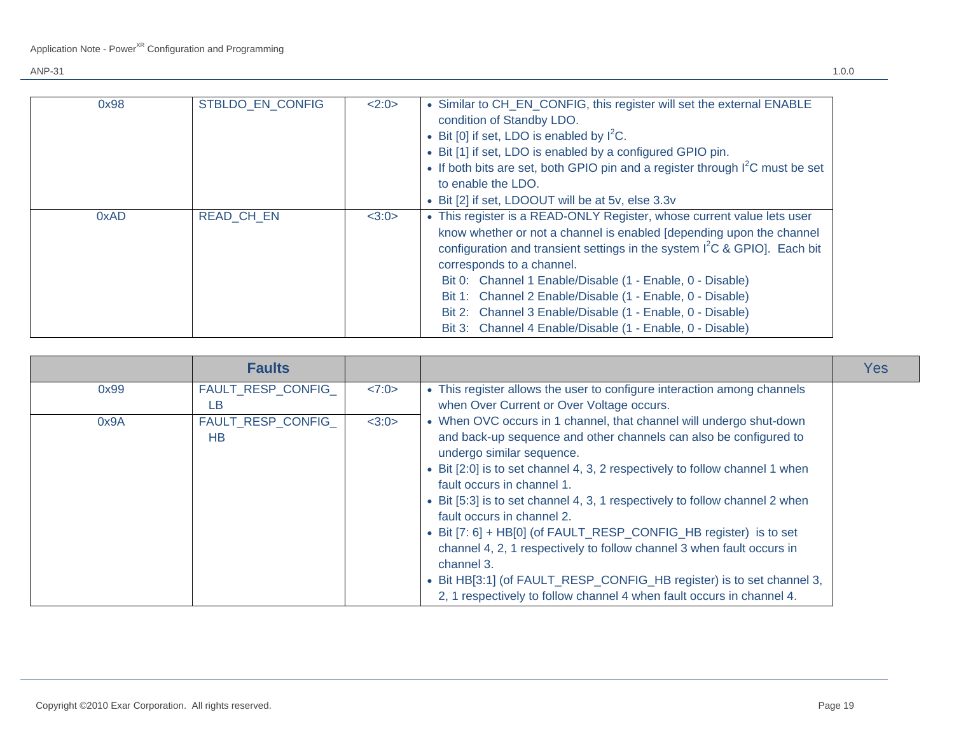| 0x98 | STBLDO EN CONFIG  | 2:0>  | • Similar to CH_EN_CONFIG, this register will set the external ENABLE<br>condition of Standby LDO.<br>• Bit [0] if set, LDO is enabled by $I^2C$ .<br>• Bit [1] if set, LDO is enabled by a configured GPIO pin.<br>• If both bits are set, both GPIO pin and a register through $I^2C$ must be set<br>to enable the LDO.<br>• Bit [2] if set, LDOOUT will be at 5v, else 3.3v                                                                                                                                 |
|------|-------------------|-------|----------------------------------------------------------------------------------------------------------------------------------------------------------------------------------------------------------------------------------------------------------------------------------------------------------------------------------------------------------------------------------------------------------------------------------------------------------------------------------------------------------------|
| 0xAD | <b>READ CH EN</b> | <3:0> | • This register is a READ-ONLY Register, whose current value lets user<br>know whether or not a channel is enabled [depending upon the channel<br>configuration and transient settings in the system $I^2C$ & GPIO]. Each bit<br>corresponds to a channel.<br>Bit 0: Channel 1 Enable/Disable (1 - Enable, 0 - Disable)<br>Bit 1: Channel 2 Enable/Disable (1 - Enable, 0 - Disable)<br>Bit 2: Channel 3 Enable/Disable (1 - Enable, 0 - Disable)<br>Bit 3: Channel 4 Enable/Disable (1 - Enable, 0 - Disable) |

|      | <b>Faults</b>            |       |                                                                                                                                                                                                                                                                                                                                                                                                                                                                                                                                                                                                                                                                                                               | <b>Yes</b> |
|------|--------------------------|-------|---------------------------------------------------------------------------------------------------------------------------------------------------------------------------------------------------------------------------------------------------------------------------------------------------------------------------------------------------------------------------------------------------------------------------------------------------------------------------------------------------------------------------------------------------------------------------------------------------------------------------------------------------------------------------------------------------------------|------------|
| 0x99 | FAULT_RESP_CONFIG_<br>LB | <7:0> | • This register allows the user to configure interaction among channels<br>when Over Current or Over Voltage occurs.                                                                                                                                                                                                                                                                                                                                                                                                                                                                                                                                                                                          |            |
| 0x9A | FAULT_RESP_CONFIG_<br>HB | <3:0> | • When OVC occurs in 1 channel, that channel will undergo shut-down<br>and back-up sequence and other channels can also be configured to<br>undergo similar sequence.<br>• Bit [2:0] is to set channel 4, 3, 2 respectively to follow channel 1 when<br>fault occurs in channel 1.<br>• Bit [5:3] is to set channel 4, 3, 1 respectively to follow channel 2 when<br>fault occurs in channel 2.<br>• Bit [7: 6] + HB[0] (of FAULT_RESP_CONFIG_HB register) is to set<br>channel 4, 2, 1 respectively to follow channel 3 when fault occurs in<br>channel 3.<br>• Bit HB[3:1] (of FAULT_RESP_CONFIG_HB register) is to set channel 3,<br>2, 1 respectively to follow channel 4 when fault occurs in channel 4. |            |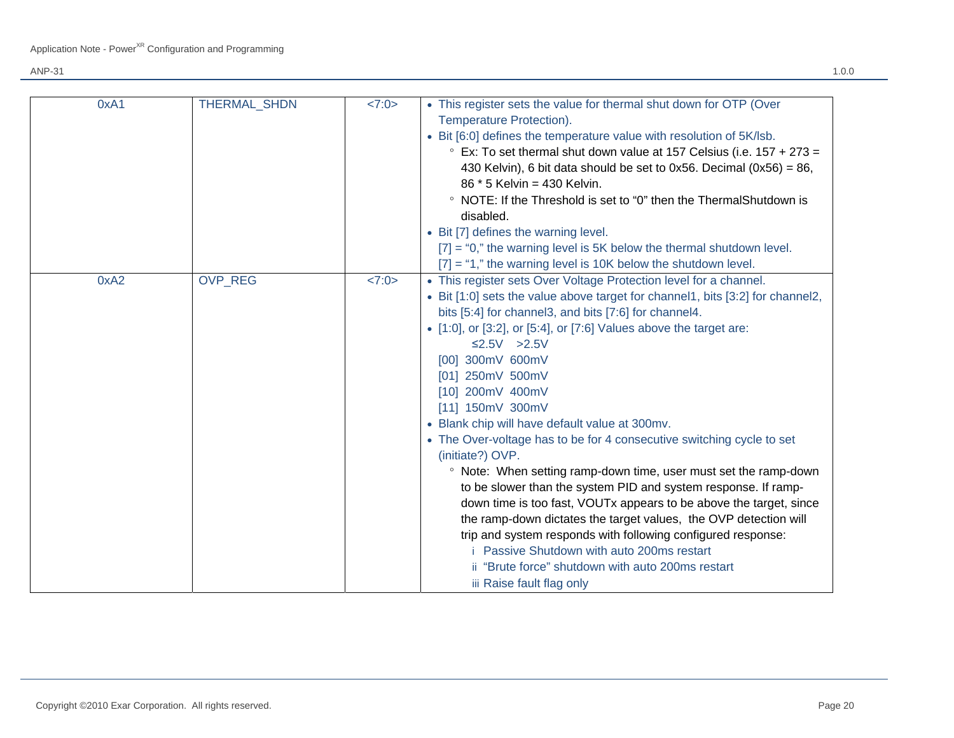| 0xA1 | <b>THERMAL SHDN</b> | <7:0> | • This register sets the value for thermal shut down for OTP (Over<br>Temperature Protection).<br>• Bit [6:0] defines the temperature value with resolution of 5K/lsb.<br>$\degree$ Ex: To set thermal shut down value at 157 Celsius (i.e. 157 + 273 =<br>430 Kelvin), 6 bit data should be set to 0x56. Decimal $(0x56) = 86$ ,<br>86 * 5 Kelvin = 430 Kelvin.<br>• NOTE: If the Threshold is set to "0" then the ThermalShutdown is<br>disabled.<br>• Bit [7] defines the warning level.<br>$[7] = 0$ ," the warning level is 5K below the thermal shutdown level.<br>$[7] = "1,"$ the warning level is 10K below the shutdown level.                                                                                                                                                                                                                                                                                                                                                                                     |
|------|---------------------|-------|------------------------------------------------------------------------------------------------------------------------------------------------------------------------------------------------------------------------------------------------------------------------------------------------------------------------------------------------------------------------------------------------------------------------------------------------------------------------------------------------------------------------------------------------------------------------------------------------------------------------------------------------------------------------------------------------------------------------------------------------------------------------------------------------------------------------------------------------------------------------------------------------------------------------------------------------------------------------------------------------------------------------------|
| 0xA2 | <b>OVP REG</b>      | <7:0> | • This register sets Over Voltage Protection level for a channel.<br>• Bit [1:0] sets the value above target for channel1, bits [3:2] for channel2,<br>bits [5:4] for channel3, and bits [7:6] for channel4.<br>$\bullet$ [1:0], or [3:2], or [5:4], or [7:6] Values above the target are:<br>$\leq$ 2.5V >2.5V<br>[00] 300mV 600mV<br>[01] 250mV 500mV<br>[10] 200mV 400mV<br>[11] 150mV 300mV<br>• Blank chip will have default value at 300mv.<br>• The Over-voltage has to be for 4 consecutive switching cycle to set<br>(initiate?) OVP.<br>• Note: When setting ramp-down time, user must set the ramp-down<br>to be slower than the system PID and system response. If ramp-<br>down time is too fast, VOUTx appears to be above the target, since<br>the ramp-down dictates the target values, the OVP detection will<br>trip and system responds with following configured response:<br>Passive Shutdown with auto 200ms restart<br>ii "Brute force" shutdown with auto 200ms restart<br>iii Raise fault flag only |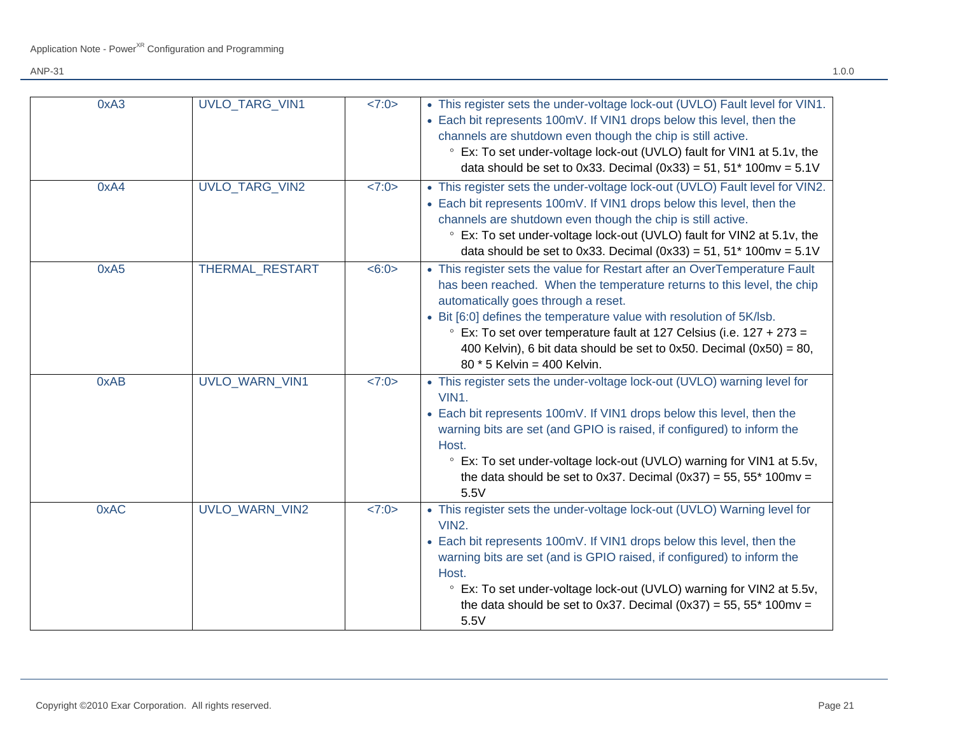| 0xA3 | <b>UVLO TARG VIN1</b>  | <7:0> | • This register sets the under-voltage lock-out (UVLO) Fault level for VIN1.<br>• Each bit represents 100mV. If VIN1 drops below this level, then the<br>channels are shutdown even though the chip is still active.<br>° Ex: To set under-voltage lock-out (UVLO) fault for VIN1 at 5.1v, the<br>data should be set to 0x33. Decimal $(0x33) = 51$ , 51* 100mv = 5.1V                                                                              |
|------|------------------------|-------|-----------------------------------------------------------------------------------------------------------------------------------------------------------------------------------------------------------------------------------------------------------------------------------------------------------------------------------------------------------------------------------------------------------------------------------------------------|
| 0xA4 | <b>UVLO TARG VIN2</b>  | <7:0> | • This register sets the under-voltage lock-out (UVLO) Fault level for VIN2.<br>• Each bit represents 100mV. If VIN1 drops below this level, then the<br>channels are shutdown even though the chip is still active.<br>° Ex: To set under-voltage lock-out (UVLO) fault for VIN2 at 5.1v, the<br>data should be set to 0x33. Decimal $(0x33) = 51$ , $51*100$ mv = $5.1V$                                                                          |
| 0xA5 | <b>THERMAL RESTART</b> | <6:0> | • This register sets the value for Restart after an OverTemperature Fault<br>has been reached. When the temperature returns to this level, the chip<br>automatically goes through a reset.<br>• Bit [6:0] defines the temperature value with resolution of 5K/lsb.<br>Ex: To set over temperature fault at 127 Celsius (i.e. 127 + 273 =<br>400 Kelvin), 6 bit data should be set to 0x50. Decimal $(0x50) = 80$ ,<br>$80 * 5$ Kelvin = 400 Kelvin. |
| 0xAB | <b>UVLO WARN VIN1</b>  | <7:0> | • This register sets the under-voltage lock-out (UVLO) warning level for<br>VIN1.<br>• Each bit represents 100mV. If VIN1 drops below this level, then the<br>warning bits are set (and GPIO is raised, if configured) to inform the<br>Host.<br><sup>o</sup> Ex: To set under-voltage lock-out (UVLO) warning for VIN1 at 5.5v,<br>the data should be set to 0x37. Decimal (0x37) = 55, 55* 100mv =<br>5.5V                                        |
| 0xAC | <b>UVLO WARN VIN2</b>  | <7:0> | • This register sets the under-voltage lock-out (UVLO) Warning level for<br>VIN <sub>2</sub> .<br>• Each bit represents 100mV. If VIN1 drops below this level, then the<br>warning bits are set (and is GPIO raised, if configured) to inform the<br>Host.<br>° Ex: To set under-voltage lock-out (UVLO) warning for VIN2 at 5.5v,<br>the data should be set to 0x37. Decimal $(0x37) = 55$ , 55* 100mv =<br>5.5V                                   |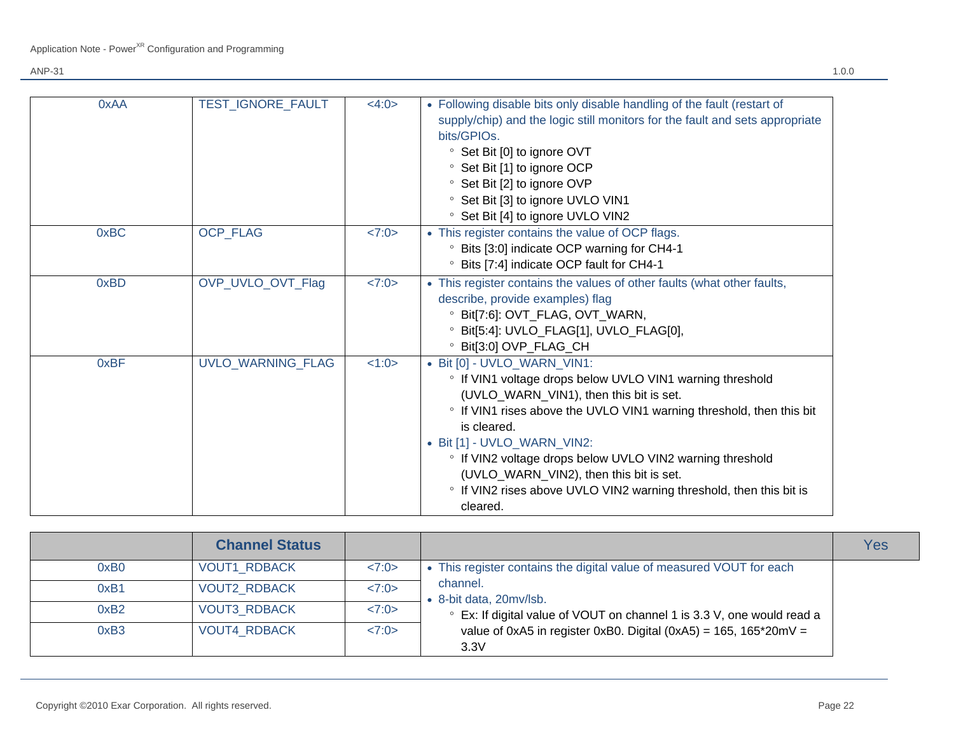| 0xAA | TEST_IGNORE_FAULT        | <4:0> | • Following disable bits only disable handling of the fault (restart of<br>supply/chip) and the logic still monitors for the fault and sets appropriate<br>bits/GPIOs.<br><sup>o</sup> Set Bit [0] to ignore OVT<br><sup>o</sup> Set Bit [1] to ignore OCP<br><sup>o</sup> Set Bit [2] to ignore OVP<br><sup>o</sup> Set Bit [3] to ignore UVLO VIN1<br><sup>o</sup> Set Bit [4] to ignore UVLO VIN2                                                 |
|------|--------------------------|-------|------------------------------------------------------------------------------------------------------------------------------------------------------------------------------------------------------------------------------------------------------------------------------------------------------------------------------------------------------------------------------------------------------------------------------------------------------|
| 0xBC | OCP_FLAG                 | <7:0> | • This register contains the value of OCP flags.<br><sup>o</sup> Bits [3:0] indicate OCP warning for CH4-1<br>Bits [7:4] indicate OCP fault for CH4-1                                                                                                                                                                                                                                                                                                |
| 0xBD | OVP_UVLO_OVT_Flag        | <7:0> | • This register contains the values of other faults (what other faults,<br>describe, provide examples) flag<br><sup>o</sup> Bit[7:6]: OVT_FLAG, OVT_WARN,<br><sup>o</sup> Bit[5:4]: UVLO_FLAG[1], UVLO_FLAG[0],<br>° Bit[3:0] OVP_FLAG_CH                                                                                                                                                                                                            |
| 0xBF | <b>UVLO WARNING FLAG</b> | 1:0>  | • Bit [0] - UVLO WARN VIN1:<br>• If VIN1 voltage drops below UVLO VIN1 warning threshold<br>(UVLO_WARN_VIN1), then this bit is set.<br>• If VIN1 rises above the UVLO VIN1 warning threshold, then this bit<br>is cleared.<br>• Bit [1] - UVLO_WARN_VIN2:<br>• If VIN2 voltage drops below UVLO VIN2 warning threshold<br>(UVLO_WARN_VIN2), then this bit is set.<br>• If VIN2 rises above UVLO VIN2 warning threshold, then this bit is<br>cleared. |

|                  | <b>Channel Status</b> |       |                                                                                                                                                                                                                                                                        | Yes |
|------------------|-----------------------|-------|------------------------------------------------------------------------------------------------------------------------------------------------------------------------------------------------------------------------------------------------------------------------|-----|
| 0xB <sub>0</sub> | <b>VOUT1 RDBACK</b>   | <7:0> | • This register contains the digital value of measured VOUT for each<br>channel.<br>• 8-bit data, 20mv/lsb.<br>• Ex: If digital value of VOUT on channel 1 is 3.3 V, one would read a<br>value of 0xA5 in register 0xB0. Digital (0xA5) = $165$ , $165*20mV =$<br>3.3V |     |
| 0xB1             | <b>VOUT2 RDBACK</b>   | <7:0> |                                                                                                                                                                                                                                                                        |     |
| 0xB2             | <b>VOUT3 RDBACK</b>   | <7:0> |                                                                                                                                                                                                                                                                        |     |
| 0xB <sub>3</sub> | <b>VOUT4 RDBACK</b>   | <7:0> |                                                                                                                                                                                                                                                                        |     |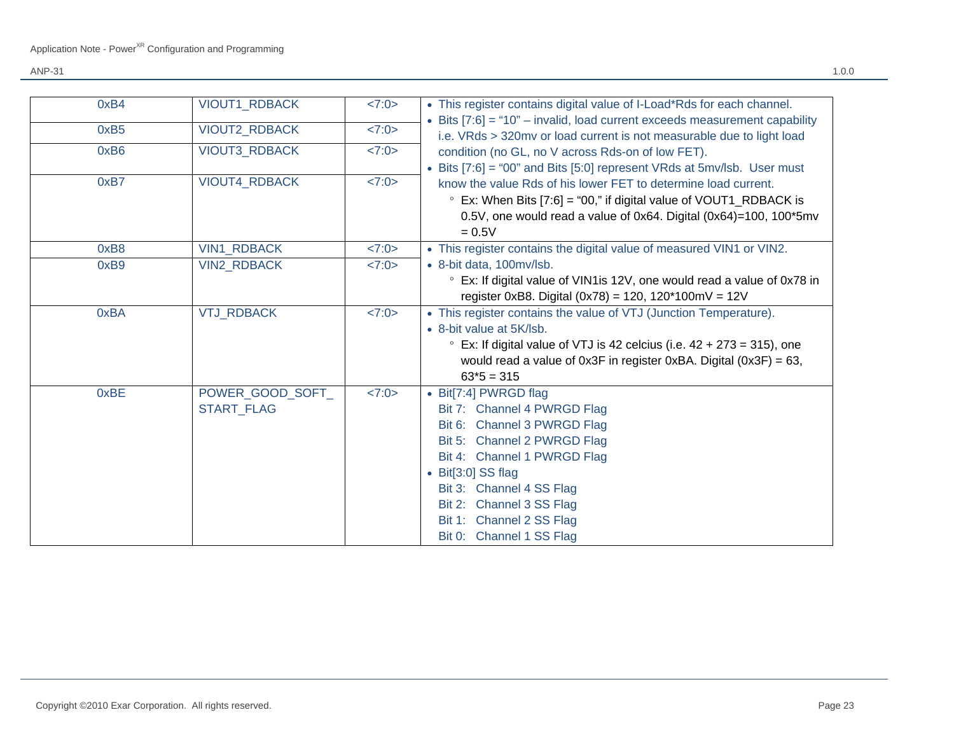| 0xB4 | <b>VIOUT1 RDBACK</b> | <7:0> | • This register contains digital value of I-Load*Rds for each channel.         |
|------|----------------------|-------|--------------------------------------------------------------------------------|
| 0xB5 | VIOUT2_RDBACK        | <7:0> | • Bits $[7:6] = "10"$ – invalid, load current exceeds measurement capability   |
|      |                      |       | i.e. VRds > 320mv or load current is not measurable due to light load          |
| 0xB6 | <b>VIOUT3 RDBACK</b> | 27:0> | condition (no GL, no V across Rds-on of low FET).                              |
|      |                      |       | • Bits [7:6] = "00" and Bits [5:0] represent VRds at 5mv/lsb. User must        |
| 0xB7 | VIOUT4_RDBACK        | <7:0> | know the value Rds of his lower FET to determine load current.                 |
|      |                      |       | $\degree$ Ex: When Bits [7:6] = "00," if digital value of VOUT1_RDBACK is      |
|      |                      |       | 0.5V, one would read a value of 0x64. Digital $(0x64)=100$ , 100*5mv           |
|      |                      |       | $= 0.5V$                                                                       |
| 0xB8 | <b>VIN1_RDBACK</b>   | <7:0> | • This register contains the digital value of measured VIN1 or VIN2.           |
| 0xB9 | <b>VIN2 RDBACK</b>   | 27:0> | • 8-bit data, 100mv/lsb.                                                       |
|      |                      |       | • Ex: If digital value of VIN1 is 12V, one would read a value of 0x78 in       |
|      |                      |       | register 0xB8. Digital (0x78) = 120, 120*100mV = 12V                           |
| 0xBA | <b>VTJ_RDBACK</b>    | <7:0> | • This register contains the value of VTJ (Junction Temperature).              |
|      |                      |       | • 8-bit value at 5K/lsb.                                                       |
|      |                      |       | $\degree$ Ex: If digital value of VTJ is 42 celcius (i.e. 42 + 273 = 315), one |
|      |                      |       | would read a value of $0x3F$ in register $0xBA$ . Digital $(0x3F) = 63$ ,      |
|      |                      |       | $63*5 = 315$                                                                   |
| 0xBE | POWER_GOOD_SOFT_     | <7:0> | • Bit[7:4] PWRGD flag                                                          |
|      | <b>START FLAG</b>    |       | Bit 7: Channel 4 PWRGD Flag                                                    |
|      |                      |       | Bit 6: Channel 3 PWRGD Flag                                                    |
|      |                      |       | Bit 5: Channel 2 PWRGD Flag                                                    |
|      |                      |       | Bit 4: Channel 1 PWRGD Flag                                                    |
|      |                      |       | $\bullet$ Bit[3:0] SS flag                                                     |
|      |                      |       | Bit 3: Channel 4 SS Flag                                                       |
|      |                      |       | Bit 2: Channel 3 SS Flag                                                       |
|      |                      |       | Bit 1: Channel 2 SS Flag                                                       |
|      |                      |       | Bit 0: Channel 1 SS Flag                                                       |